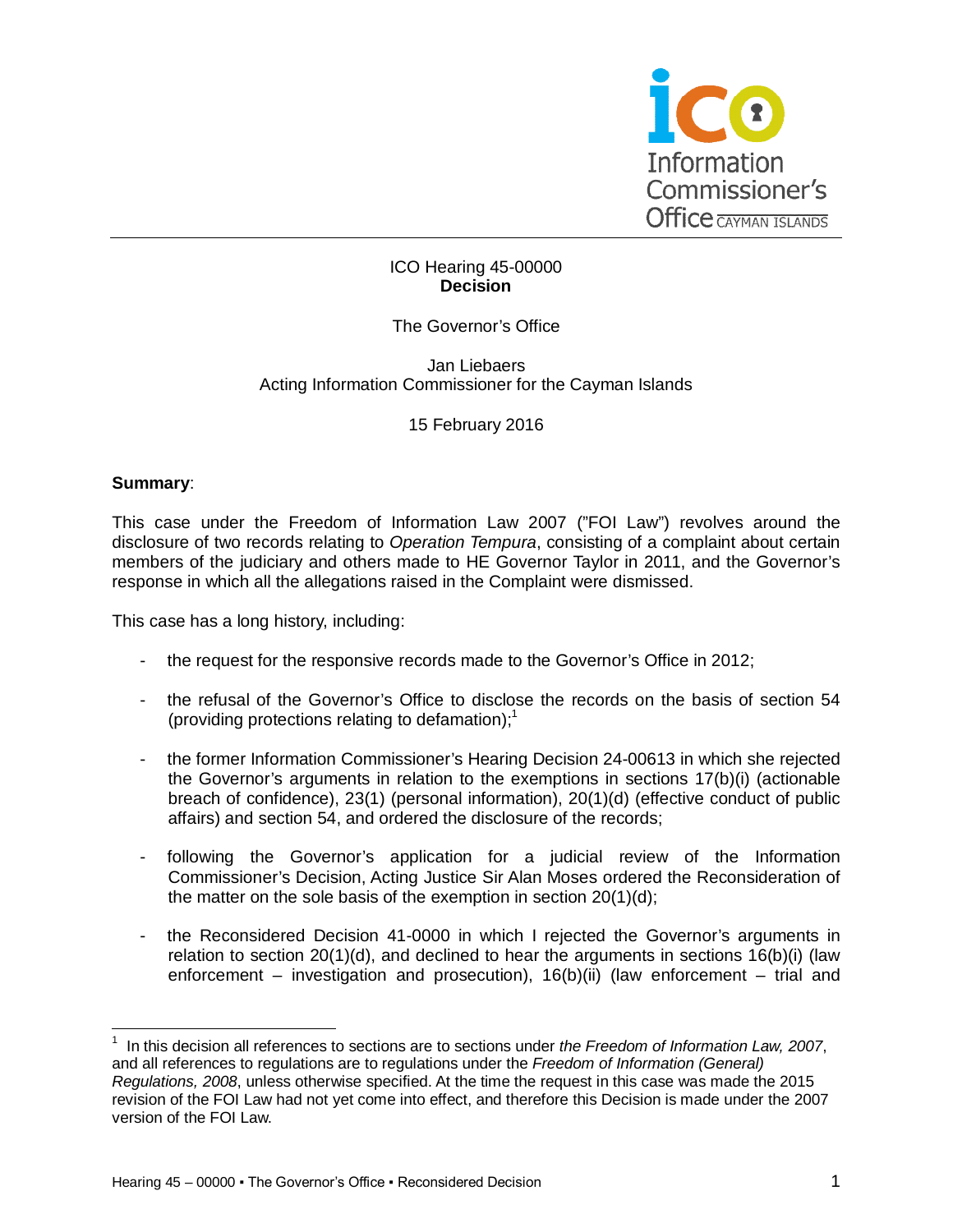

## ICO Hearing 45-00000 **Decision**

## The Governor's Office

#### Jan Liebaers Acting Information Commissioner for the Cayman Islands

## 15 February 2016

#### **Summary**:

This case under the Freedom of Information Law 2007 ("FOI Law") revolves around the disclosure of two records relating to *Operation Tempura*, consisting of a complaint about certain members of the judiciary and others made to HE Governor Taylor in 2011, and the Governor's response in which all the allegations raised in the Complaint were dismissed.

This case has a long history, including:

- the request for the responsive records made to the Governor's Office in 2012;
- the refusal of the Governor's Office to disclose the records on the basis of section 54 (providing protections relating to defamation);<sup>1</sup>
- the former Information Commissioner's Hearing Decision 24-00613 in which she rejected the Governor's arguments in relation to the exemptions in sections 17(b)(i) (actionable breach of confidence), 23(1) (personal information), 20(1)(d) (effective conduct of public affairs) and section 54, and ordered the disclosure of the records;
- following the Governor's application for a judicial review of the Information Commissioner's Decision, Acting Justice Sir Alan Moses ordered the Reconsideration of the matter on the sole basis of the exemption in section 20(1)(d);
- the Reconsidered Decision 41-0000 in which I rejected the Governor's arguments in relation to section 20(1)(d), and declined to hear the arguments in sections 16(b)(i) (law enforcement – investigation and prosecution), 16(b)(ii) (law enforcement – trial and

 $\overline{\phantom{a}}$ 1 In this decision all references to sections are to sections under *the Freedom of Information Law, 2007*, and all references to regulations are to regulations under the *Freedom of Information (General) Regulations, 2008*, unless otherwise specified. At the time the request in this case was made the 2015 revision of the FOI Law had not yet come into effect, and therefore this Decision is made under the 2007 version of the FOI Law.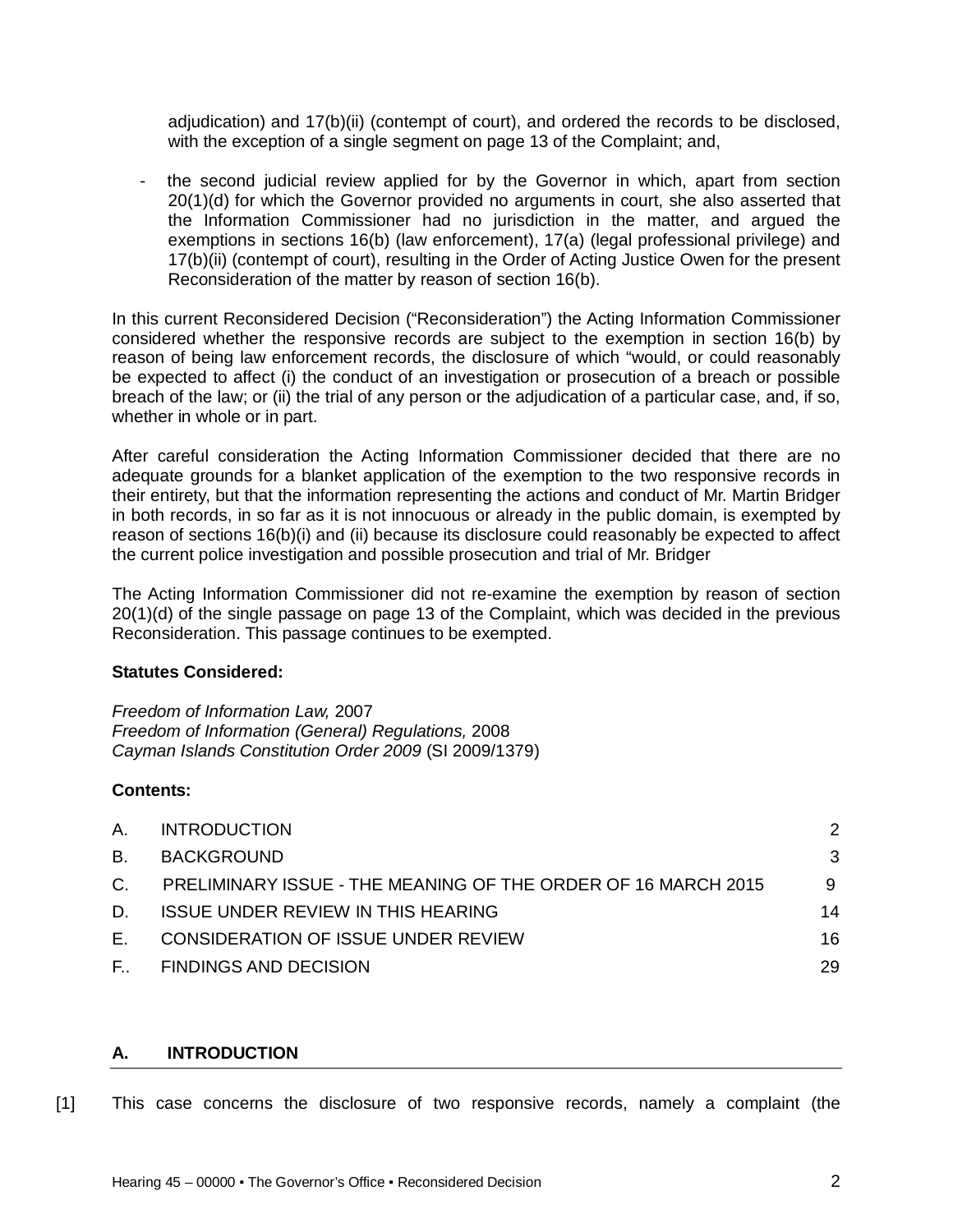adjudication) and 17(b)(ii) (contempt of court), and ordered the records to be disclosed, with the exception of a single segment on page 13 of the Complaint; and,

the second judicial review applied for by the Governor in which, apart from section 20(1)(d) for which the Governor provided no arguments in court, she also asserted that the Information Commissioner had no jurisdiction in the matter, and argued the exemptions in sections 16(b) (law enforcement), 17(a) (legal professional privilege) and 17(b)(ii) (contempt of court), resulting in the Order of Acting Justice Owen for the present Reconsideration of the matter by reason of section 16(b).

In this current Reconsidered Decision ("Reconsideration") the Acting Information Commissioner considered whether the responsive records are subject to the exemption in section 16(b) by reason of being law enforcement records, the disclosure of which "would, or could reasonably be expected to affect (i) the conduct of an investigation or prosecution of a breach or possible breach of the law; or (ii) the trial of any person or the adjudication of a particular case, and, if so, whether in whole or in part.

After careful consideration the Acting Information Commissioner decided that there are no adequate grounds for a blanket application of the exemption to the two responsive records in their entirety, but that the information representing the actions and conduct of Mr. Martin Bridger in both records, in so far as it is not innocuous or already in the public domain, is exempted by reason of sections 16(b)(i) and (ii) because its disclosure could reasonably be expected to affect the current police investigation and possible prosecution and trial of Mr. Bridger

The Acting Information Commissioner did not re-examine the exemption by reason of section 20(1)(d) of the single passage on page 13 of the Complaint, which was decided in the previous Reconsideration. This passage continues to be exempted.

## **Statutes Considered:**

*Freedom of Information Law,* 2007 *Freedom of Information (General) Regulations,* 2008 *Cayman Islands Constitution Order 2009* (SI 2009/1379)

## **Contents:**

| A.           | <b>INTRODUCTION</b>                                           | 2  |
|--------------|---------------------------------------------------------------|----|
| B.           | <b>BACKGROUND</b>                                             | 3  |
| $C_{1}$      | PRELIMINARY ISSUE - THE MEANING OF THE ORDER OF 16 MARCH 2015 | 9  |
| D.           | <b>ISSUE UNDER REVIEW IN THIS HEARING</b>                     | 14 |
| Е.           | CONSIDERATION OF ISSUE UNDER REVIEW                           | 16 |
| $F_{\mu\nu}$ | <b>FINDINGS AND DECISION</b>                                  | 29 |

# **A. INTRODUCTION**

[1] This case concerns the disclosure of two responsive records, namely a complaint (the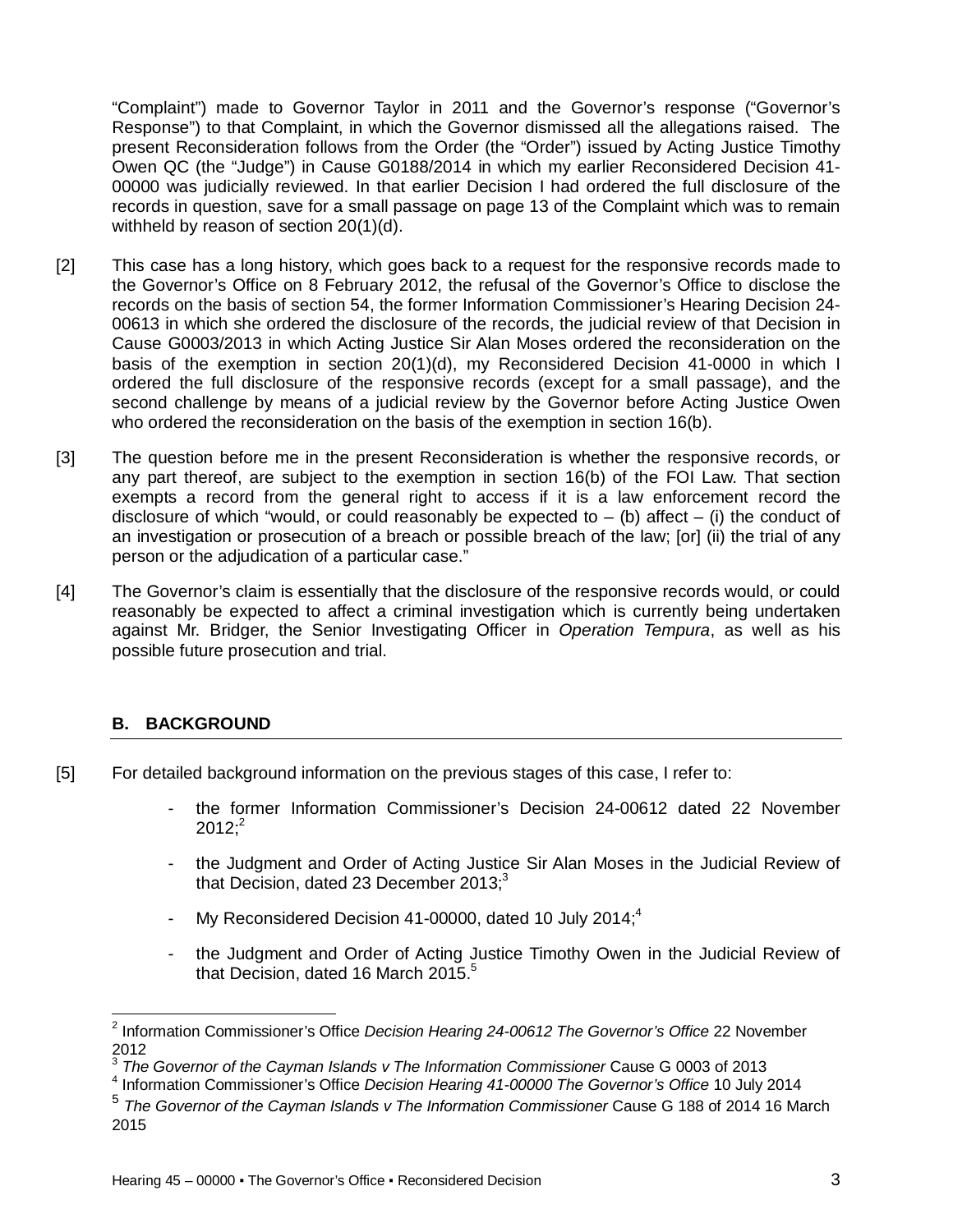"Complaint") made to Governor Taylor in 2011 and the Governor's response ("Governor's Response") to that Complaint, in which the Governor dismissed all the allegations raised. The present Reconsideration follows from the Order (the "Order") issued by Acting Justice Timothy Owen QC (the "Judge") in Cause G0188/2014 in which my earlier Reconsidered Decision 41- 00000 was judicially reviewed. In that earlier Decision I had ordered the full disclosure of the records in question, save for a small passage on page 13 of the Complaint which was to remain withheld by reason of section 20(1)(d).

- [2] This case has a long history, which goes back to a request for the responsive records made to the Governor's Office on 8 February 2012, the refusal of the Governor's Office to disclose the records on the basis of section 54, the former Information Commissioner's Hearing Decision 24- 00613 in which she ordered the disclosure of the records, the judicial review of that Decision in Cause G0003/2013 in which Acting Justice Sir Alan Moses ordered the reconsideration on the basis of the exemption in section 20(1)(d), my Reconsidered Decision 41-0000 in which I ordered the full disclosure of the responsive records (except for a small passage), and the second challenge by means of a judicial review by the Governor before Acting Justice Owen who ordered the reconsideration on the basis of the exemption in section 16(b).
- [3] The question before me in the present Reconsideration is whether the responsive records, or any part thereof, are subject to the exemption in section 16(b) of the FOI Law. That section exempts a record from the general right to access if it is a law enforcement record the disclosure of which "would, or could reasonably be expected to  $-$  (b) affect  $-$  (i) the conduct of an investigation or prosecution of a breach or possible breach of the law; [or] (ii) the trial of any person or the adjudication of a particular case."
- [4] The Governor's claim is essentially that the disclosure of the responsive records would, or could reasonably be expected to affect a criminal investigation which is currently being undertaken against Mr. Bridger, the Senior Investigating Officer in *Operation Tempura*, as well as his possible future prosecution and trial.

# **B. BACKGROUND**

- [5] For detailed background information on the previous stages of this case, I refer to:
	- the former Information Commissioner's Decision 24-00612 dated 22 November  $2012$ ;<sup>2</sup>
	- the Judgment and Order of Acting Justice Sir Alan Moses in the Judicial Review of that Decision, dated 23 December 2013; $3$
	- My Reconsidered Decision 41-00000, dated 10 July 2014; $4$
	- the Judgment and Order of Acting Justice Timothy Owen in the Judicial Review of that Decision, dated 16 March 2015. $5$

 2 Information Commissioner's Office *Decision Hearing 24-00612 The Governor's Office* 22 November 2012

<sup>3</sup> *The Governor of the Cayman Islands v The Information Commissioner* Cause G 0003 of 2013

<sup>4</sup> Information Commissioner's Office *Decision Hearing 41-00000 The Governor's Office* 10 July 2014

<sup>&</sup>lt;sup>5</sup> The Governor of the Cayman Islands v The Information Commissioner Cause G 188 of 2014 16 March 2015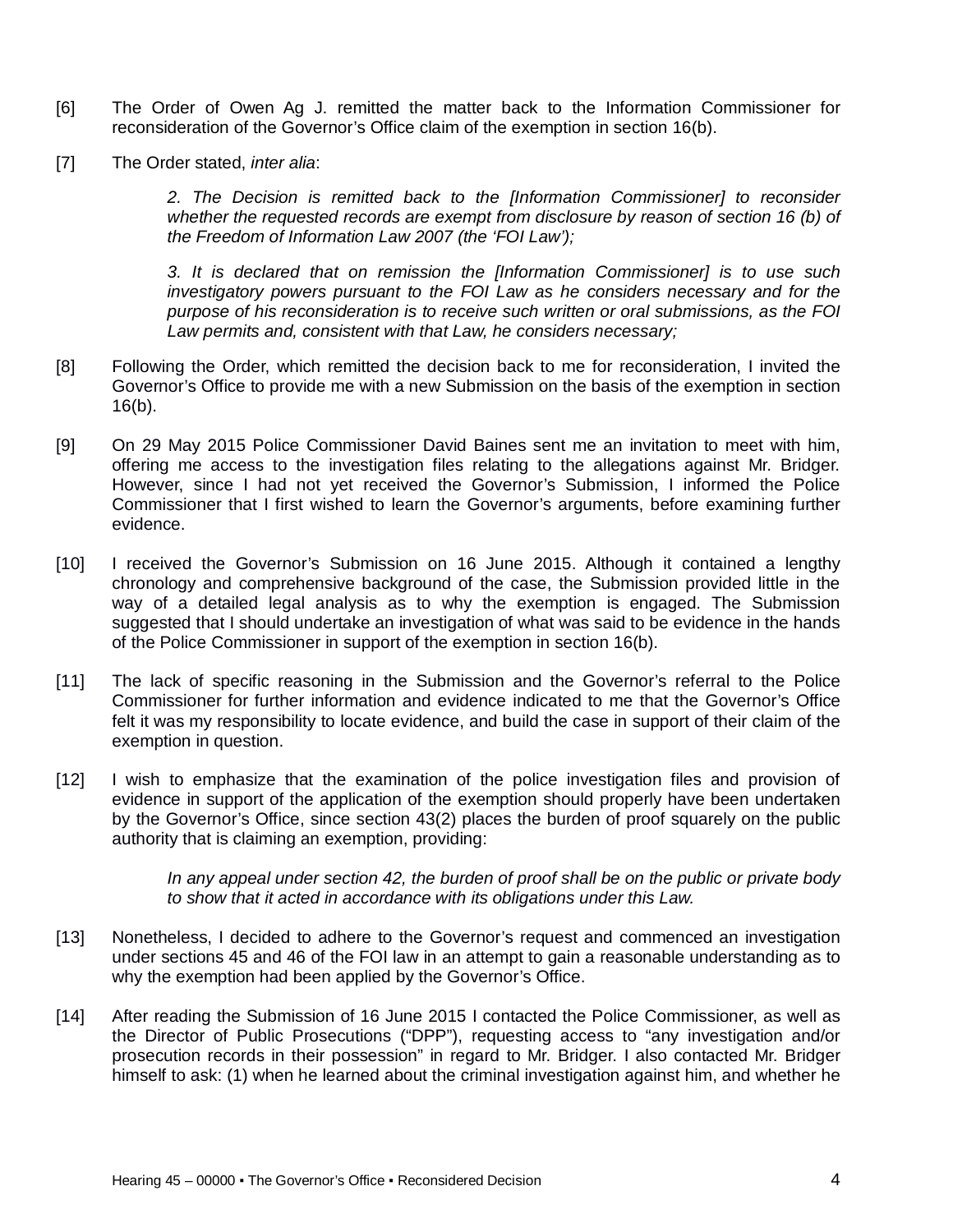- [6] The Order of Owen Ag J. remitted the matter back to the Information Commissioner for reconsideration of the Governor's Office claim of the exemption in section 16(b).
- [7] The Order stated, *inter alia*:

*2. The Decision is remitted back to the [Information Commissioner] to reconsider whether the requested records are exempt from disclosure by reason of section 16 (b) of the Freedom of Information Law 2007 (the 'FOI Law');*

*3. It is declared that on remission the [Information Commissioner] is to use such investigatory powers pursuant to the FOI Law as he considers necessary and for the purpose of his reconsideration is to receive such written or oral submissions, as the FOI Law permits and, consistent with that Law, he considers necessary;*

- [8] Following the Order, which remitted the decision back to me for reconsideration, I invited the Governor's Office to provide me with a new Submission on the basis of the exemption in section 16(b).
- [9] On 29 May 2015 Police Commissioner David Baines sent me an invitation to meet with him, offering me access to the investigation files relating to the allegations against Mr. Bridger. However, since I had not yet received the Governor's Submission, I informed the Police Commissioner that I first wished to learn the Governor's arguments, before examining further evidence.
- [10] I received the Governor's Submission on 16 June 2015. Although it contained a lengthy chronology and comprehensive background of the case, the Submission provided little in the way of a detailed legal analysis as to why the exemption is engaged. The Submission suggested that I should undertake an investigation of what was said to be evidence in the hands of the Police Commissioner in support of the exemption in section 16(b).
- [11] The lack of specific reasoning in the Submission and the Governor's referral to the Police Commissioner for further information and evidence indicated to me that the Governor's Office felt it was my responsibility to locate evidence, and build the case in support of their claim of the exemption in question.
- [12] I wish to emphasize that the examination of the police investigation files and provision of evidence in support of the application of the exemption should properly have been undertaken by the Governor's Office, since section 43(2) places the burden of proof squarely on the public authority that is claiming an exemption, providing:

*In any appeal under section 42, the burden of proof shall be on the public or private body to show that it acted in accordance with its obligations under this Law.*

- [13] Nonetheless, I decided to adhere to the Governor's request and commenced an investigation under sections 45 and 46 of the FOI law in an attempt to gain a reasonable understanding as to why the exemption had been applied by the Governor's Office.
- [14] After reading the Submission of 16 June 2015 I contacted the Police Commissioner, as well as the Director of Public Prosecutions ("DPP"), requesting access to "any investigation and/or prosecution records in their possession" in regard to Mr. Bridger. I also contacted Mr. Bridger himself to ask: (1) when he learned about the criminal investigation against him, and whether he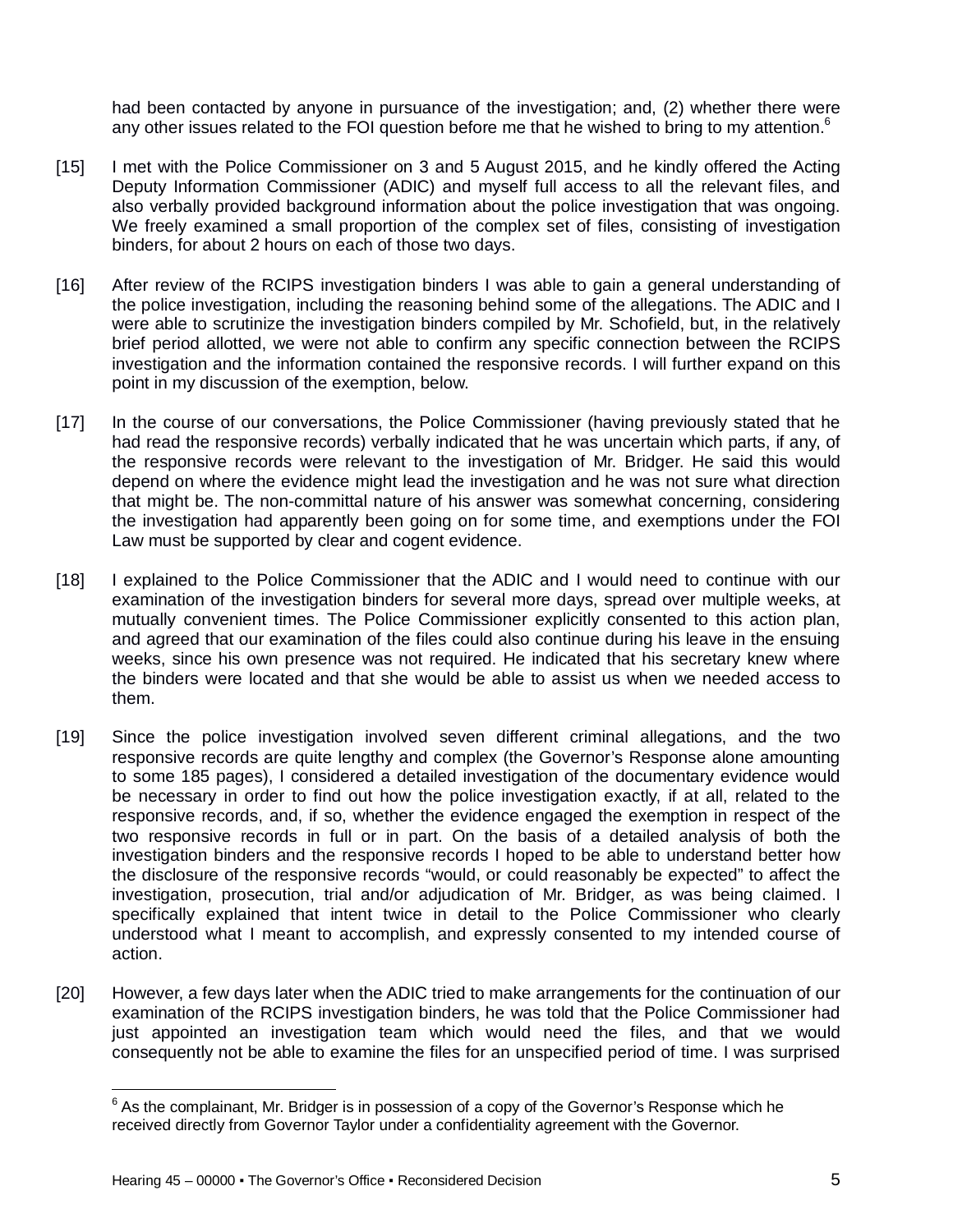had been contacted by anyone in pursuance of the investigation; and, (2) whether there were any other issues related to the FOI question before me that he wished to bring to my attention.<sup>6</sup>

- [15] I met with the Police Commissioner on 3 and 5 August 2015, and he kindly offered the Acting Deputy Information Commissioner (ADIC) and myself full access to all the relevant files, and also verbally provided background information about the police investigation that was ongoing. We freely examined a small proportion of the complex set of files, consisting of investigation binders, for about 2 hours on each of those two days.
- [16] After review of the RCIPS investigation binders I was able to gain a general understanding of the police investigation, including the reasoning behind some of the allegations. The ADIC and I were able to scrutinize the investigation binders compiled by Mr. Schofield, but, in the relatively brief period allotted, we were not able to confirm any specific connection between the RCIPS investigation and the information contained the responsive records. I will further expand on this point in my discussion of the exemption, below.
- [17] In the course of our conversations, the Police Commissioner (having previously stated that he had read the responsive records) verbally indicated that he was uncertain which parts, if any, of the responsive records were relevant to the investigation of Mr. Bridger. He said this would depend on where the evidence might lead the investigation and he was not sure what direction that might be. The non-committal nature of his answer was somewhat concerning, considering the investigation had apparently been going on for some time, and exemptions under the FOI Law must be supported by clear and cogent evidence.
- [18] I explained to the Police Commissioner that the ADIC and I would need to continue with our examination of the investigation binders for several more days, spread over multiple weeks, at mutually convenient times. The Police Commissioner explicitly consented to this action plan, and agreed that our examination of the files could also continue during his leave in the ensuing weeks, since his own presence was not required. He indicated that his secretary knew where the binders were located and that she would be able to assist us when we needed access to them.
- [19] Since the police investigation involved seven different criminal allegations, and the two responsive records are quite lengthy and complex (the Governor's Response alone amounting to some 185 pages), I considered a detailed investigation of the documentary evidence would be necessary in order to find out how the police investigation exactly, if at all, related to the responsive records, and, if so, whether the evidence engaged the exemption in respect of the two responsive records in full or in part. On the basis of a detailed analysis of both the investigation binders and the responsive records I hoped to be able to understand better how the disclosure of the responsive records "would, or could reasonably be expected" to affect the investigation, prosecution, trial and/or adjudication of Mr. Bridger, as was being claimed. I specifically explained that intent twice in detail to the Police Commissioner who clearly understood what I meant to accomplish, and expressly consented to my intended course of action.
- [20] However, a few days later when the ADIC tried to make arrangements for the continuation of our examination of the RCIPS investigation binders, he was told that the Police Commissioner had just appointed an investigation team which would need the files, and that we would consequently not be able to examine the files for an unspecified period of time. I was surprised

 $\overline{\phantom{a}}$ 

 $^6$  As the complainant, Mr. Bridger is in possession of a copy of the Governor's Response which he received directly from Governor Taylor under a confidentiality agreement with the Governor.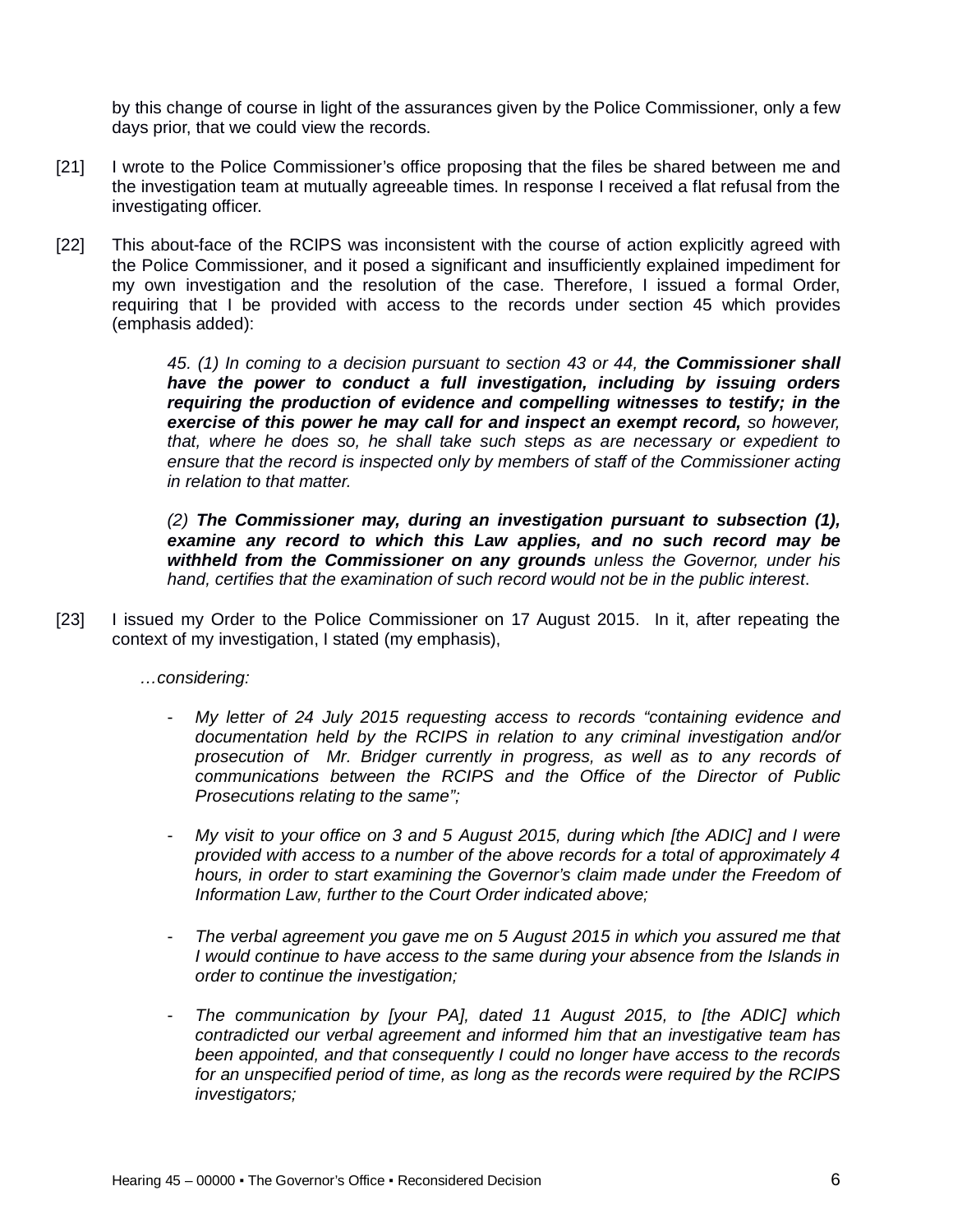by this change of course in light of the assurances given by the Police Commissioner, only a few days prior, that we could view the records.

- [21] I wrote to the Police Commissioner's office proposing that the files be shared between me and the investigation team at mutually agreeable times. In response I received a flat refusal from the investigating officer.
- [22] This about-face of the RCIPS was inconsistent with the course of action explicitly agreed with the Police Commissioner, and it posed a significant and insufficiently explained impediment for my own investigation and the resolution of the case. Therefore, I issued a formal Order, requiring that I be provided with access to the records under section 45 which provides (emphasis added):

*45. (1) In coming to a decision pursuant to section 43 or 44, the Commissioner shall have the power to conduct a full investigation, including by issuing orders requiring the production of evidence and compelling witnesses to testify; in the exercise of this power he may call for and inspect an exempt record, so however, that, where he does so, he shall take such steps as are necessary or expedient to ensure that the record is inspected only by members of staff of the Commissioner acting in relation to that matter.* 

*(2) The Commissioner may, during an investigation pursuant to subsection (1), examine any record to which this Law applies, and no such record may be withheld from the Commissioner on any grounds unless the Governor, under his hand, certifies that the examination of such record would not be in the public interest*.

[23] I issued my Order to the Police Commissioner on 17 August 2015. In it, after repeating the context of my investigation, I stated (my emphasis),

*…considering:*

- *My letter of 24 July 2015 requesting access to records "containing evidence and documentation held by the RCIPS in relation to any criminal investigation and/or prosecution of Mr. Bridger currently in progress, as well as to any records of communications between the RCIPS and the Office of the Director of Public Prosecutions relating to the same";*
- *My visit to your office on 3 and 5 August 2015, during which [the ADIC] and I were provided with access to a number of the above records for a total of approximately 4 hours, in order to start examining the Governor's claim made under the Freedom of Information Law, further to the Court Order indicated above;*
- *The verbal agreement you gave me on 5 August 2015 in which you assured me that I* would continue to have access to the same during your absence from the Islands in *order to continue the investigation;*
- *The communication by [your PA], dated 11 August 2015, to [the ADIC] which contradicted our verbal agreement and informed him that an investigative team has been appointed, and that consequently I could no longer have access to the records for an unspecified period of time, as long as the records were required by the RCIPS investigators;*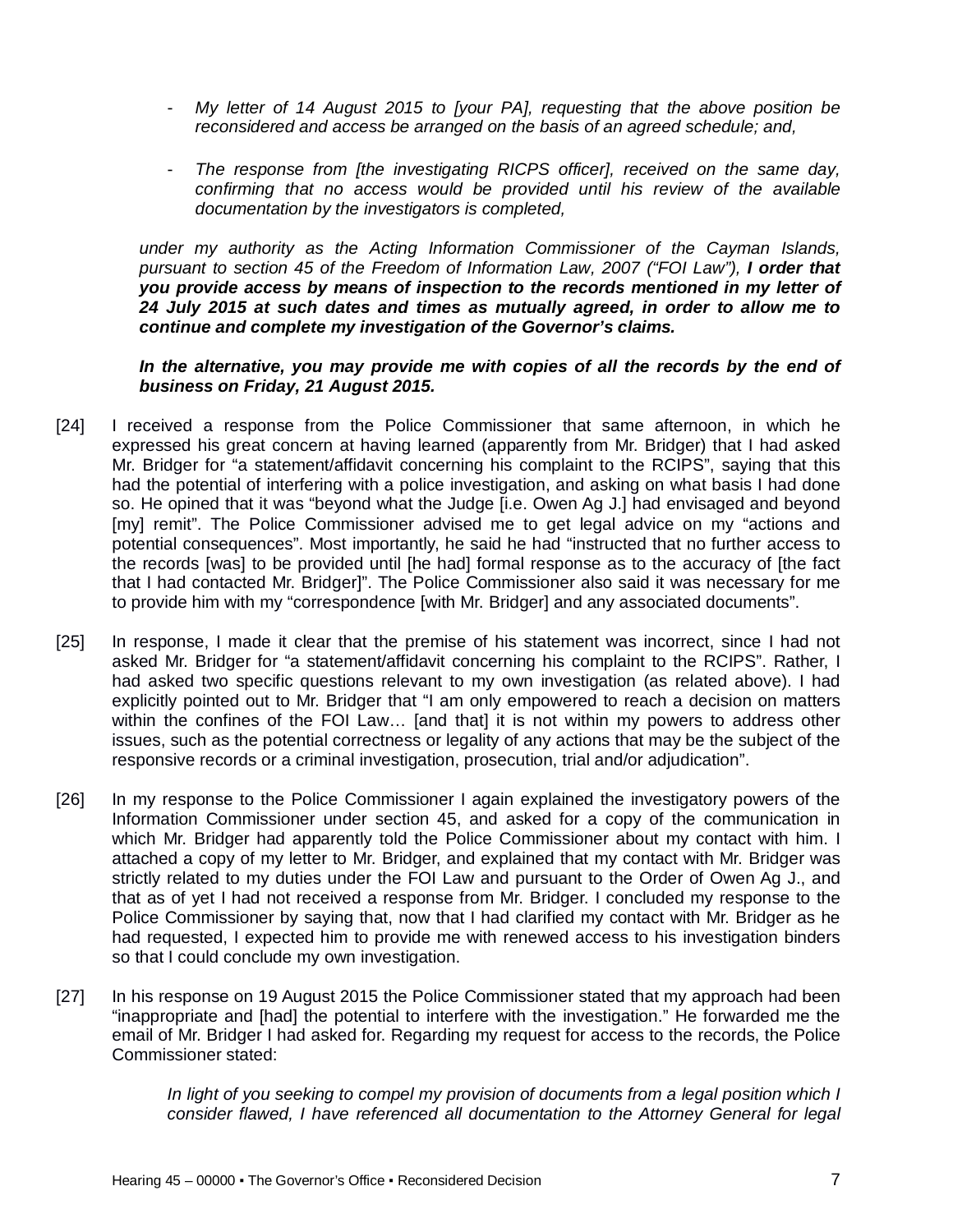- *My letter of 14 August 2015 to [your PA], requesting that the above position be reconsidered and access be arranged on the basis of an agreed schedule; and,*
- *The response from [the investigating RICPS officer], received on the same day, confirming that no access would be provided until his review of the available documentation by the investigators is completed,*

*under my authority as the Acting Information Commissioner of the Cayman Islands, pursuant to section 45 of the Freedom of Information Law, 2007 ("FOI Law"), I order that you provide access by means of inspection to the records mentioned in my letter of 24 July 2015 at such dates and times as mutually agreed, in order to allow me to continue and complete my investigation of the Governor's claims.*

#### In the alternative, you may provide me with copies of all the records by the end of *business on Friday, 21 August 2015.*

- [24] I received a response from the Police Commissioner that same afternoon, in which he expressed his great concern at having learned (apparently from Mr. Bridger) that I had asked Mr. Bridger for "a statement/affidavit concerning his complaint to the RCIPS", saying that this had the potential of interfering with a police investigation, and asking on what basis I had done so. He opined that it was "beyond what the Judge [i.e. Owen Ag J.] had envisaged and beyond [my] remit". The Police Commissioner advised me to get legal advice on my "actions and potential consequences". Most importantly, he said he had "instructed that no further access to the records [was] to be provided until [he had] formal response as to the accuracy of [the fact that I had contacted Mr. Bridger]". The Police Commissioner also said it was necessary for me to provide him with my "correspondence [with Mr. Bridger] and any associated documents".
- [25] In response, I made it clear that the premise of his statement was incorrect, since I had not asked Mr. Bridger for "a statement/affidavit concerning his complaint to the RCIPS". Rather, I had asked two specific questions relevant to my own investigation (as related above). I had explicitly pointed out to Mr. Bridger that "I am only empowered to reach a decision on matters within the confines of the FOI Law… [and that] it is not within my powers to address other issues, such as the potential correctness or legality of any actions that may be the subject of the responsive records or a criminal investigation, prosecution, trial and/or adjudication".
- [26] In my response to the Police Commissioner I again explained the investigatory powers of the Information Commissioner under section 45, and asked for a copy of the communication in which Mr. Bridger had apparently told the Police Commissioner about my contact with him. I attached a copy of my letter to Mr. Bridger, and explained that my contact with Mr. Bridger was strictly related to my duties under the FOI Law and pursuant to the Order of Owen Ag J., and that as of yet I had not received a response from Mr. Bridger. I concluded my response to the Police Commissioner by saying that, now that I had clarified my contact with Mr. Bridger as he had requested, I expected him to provide me with renewed access to his investigation binders so that I could conclude my own investigation.
- [27] In his response on 19 August 2015 the Police Commissioner stated that my approach had been "inappropriate and [had] the potential to interfere with the investigation." He forwarded me the email of Mr. Bridger I had asked for. Regarding my request for access to the records, the Police Commissioner stated:

In light of you seeking to compel my provision of documents from a legal position which I *consider flawed, I have referenced all documentation to the Attorney General for legal*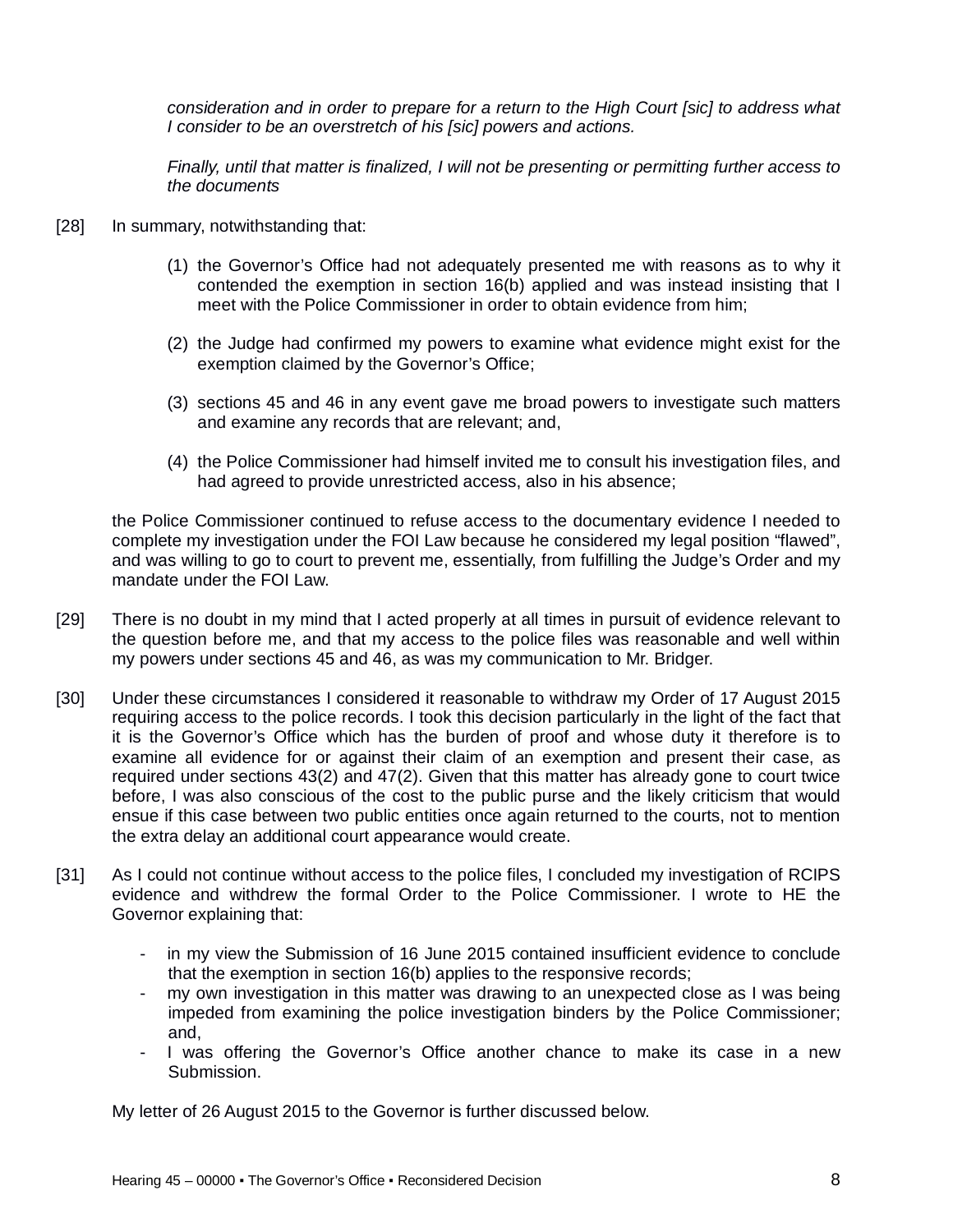*consideration and in order to prepare for a return to the High Court [sic] to address what I consider to be an overstretch of his [sic] powers and actions.* 

*Finally, until that matter is finalized, I will not be presenting or permitting further access to the documents*

- [28] In summary, notwithstanding that:
	- (1) the Governor's Office had not adequately presented me with reasons as to why it contended the exemption in section 16(b) applied and was instead insisting that I meet with the Police Commissioner in order to obtain evidence from him;
	- (2) the Judge had confirmed my powers to examine what evidence might exist for the exemption claimed by the Governor's Office;
	- (3) sections 45 and 46 in any event gave me broad powers to investigate such matters and examine any records that are relevant; and,
	- (4) the Police Commissioner had himself invited me to consult his investigation files, and had agreed to provide unrestricted access, also in his absence;

the Police Commissioner continued to refuse access to the documentary evidence I needed to complete my investigation under the FOI Law because he considered my legal position "flawed", and was willing to go to court to prevent me, essentially, from fulfilling the Judge's Order and my mandate under the FOI Law.

- [29] There is no doubt in my mind that I acted properly at all times in pursuit of evidence relevant to the question before me, and that my access to the police files was reasonable and well within my powers under sections 45 and 46, as was my communication to Mr. Bridger.
- [30] Under these circumstances I considered it reasonable to withdraw my Order of 17 August 2015 requiring access to the police records. I took this decision particularly in the light of the fact that it is the Governor's Office which has the burden of proof and whose duty it therefore is to examine all evidence for or against their claim of an exemption and present their case, as required under sections 43(2) and 47(2). Given that this matter has already gone to court twice before, I was also conscious of the cost to the public purse and the likely criticism that would ensue if this case between two public entities once again returned to the courts, not to mention the extra delay an additional court appearance would create.
- [31] As I could not continue without access to the police files, I concluded my investigation of RCIPS evidence and withdrew the formal Order to the Police Commissioner. I wrote to HE the Governor explaining that:
	- in my view the Submission of 16 June 2015 contained insufficient evidence to conclude that the exemption in section 16(b) applies to the responsive records;
	- my own investigation in this matter was drawing to an unexpected close as I was being impeded from examining the police investigation binders by the Police Commissioner; and,
	- I was offering the Governor's Office another chance to make its case in a new Submission.

My letter of 26 August 2015 to the Governor is further discussed below.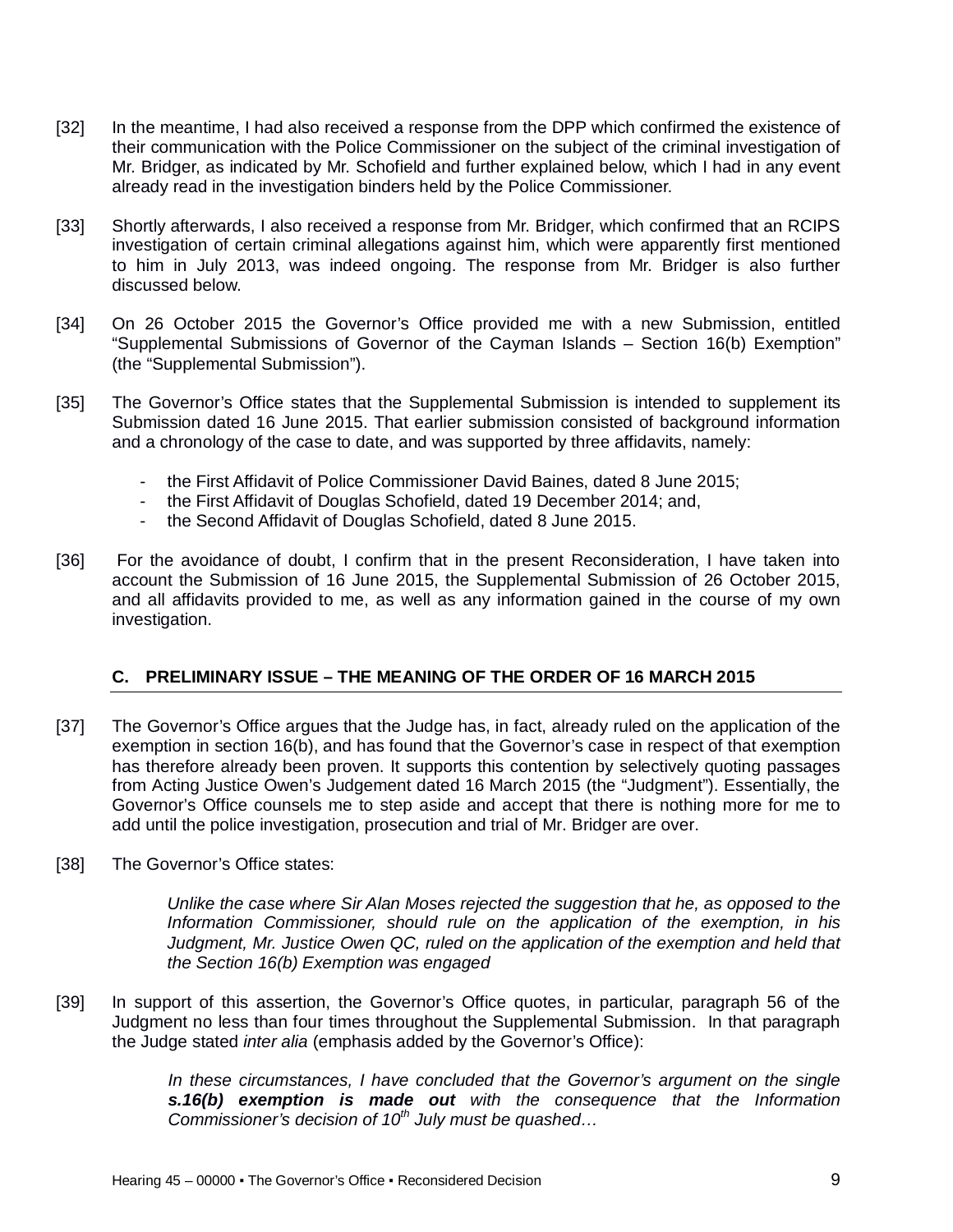- [32] In the meantime, I had also received a response from the DPP which confirmed the existence of their communication with the Police Commissioner on the subject of the criminal investigation of Mr. Bridger, as indicated by Mr. Schofield and further explained below, which I had in any event already read in the investigation binders held by the Police Commissioner.
- [33] Shortly afterwards, I also received a response from Mr. Bridger, which confirmed that an RCIPS investigation of certain criminal allegations against him, which were apparently first mentioned to him in July 2013, was indeed ongoing. The response from Mr. Bridger is also further discussed below.
- [34] On 26 October 2015 the Governor's Office provided me with a new Submission, entitled "Supplemental Submissions of Governor of the Cayman Islands – Section 16(b) Exemption" (the "Supplemental Submission").
- [35] The Governor's Office states that the Supplemental Submission is intended to supplement its Submission dated 16 June 2015. That earlier submission consisted of background information and a chronology of the case to date, and was supported by three affidavits, namely:
	- the First Affidavit of Police Commissioner David Baines, dated 8 June 2015;
	- the First Affidavit of Douglas Schofield, dated 19 December 2014; and,
	- the Second Affidavit of Douglas Schofield, dated 8 June 2015.
- [36] For the avoidance of doubt, I confirm that in the present Reconsideration, I have taken into account the Submission of 16 June 2015, the Supplemental Submission of 26 October 2015, and all affidavits provided to me, as well as any information gained in the course of my own investigation.

## **C. PRELIMINARY ISSUE – THE MEANING OF THE ORDER OF 16 MARCH 2015**

- [37] The Governor's Office argues that the Judge has, in fact, already ruled on the application of the exemption in section 16(b), and has found that the Governor's case in respect of that exemption has therefore already been proven. It supports this contention by selectively quoting passages from Acting Justice Owen's Judgement dated 16 March 2015 (the "Judgment"). Essentially, the Governor's Office counsels me to step aside and accept that there is nothing more for me to add until the police investigation, prosecution and trial of Mr. Bridger are over.
- [38] The Governor's Office states:

*Unlike the case where Sir Alan Moses rejected the suggestion that he, as opposed to the Information Commissioner, should rule on the application of the exemption, in his Judgment, Mr. Justice Owen QC, ruled on the application of the exemption and held that the Section 16(b) Exemption was engaged*

[39] In support of this assertion, the Governor's Office quotes, in particular, paragraph 56 of the Judgment no less than four times throughout the Supplemental Submission. In that paragraph the Judge stated *inter alia* (emphasis added by the Governor's Office):

> *In these circumstances, I have concluded that the Governor's argument on the single s.16(b) exemption is made out with the consequence that the Information Commissioner's decision of 10th July must be quashed…*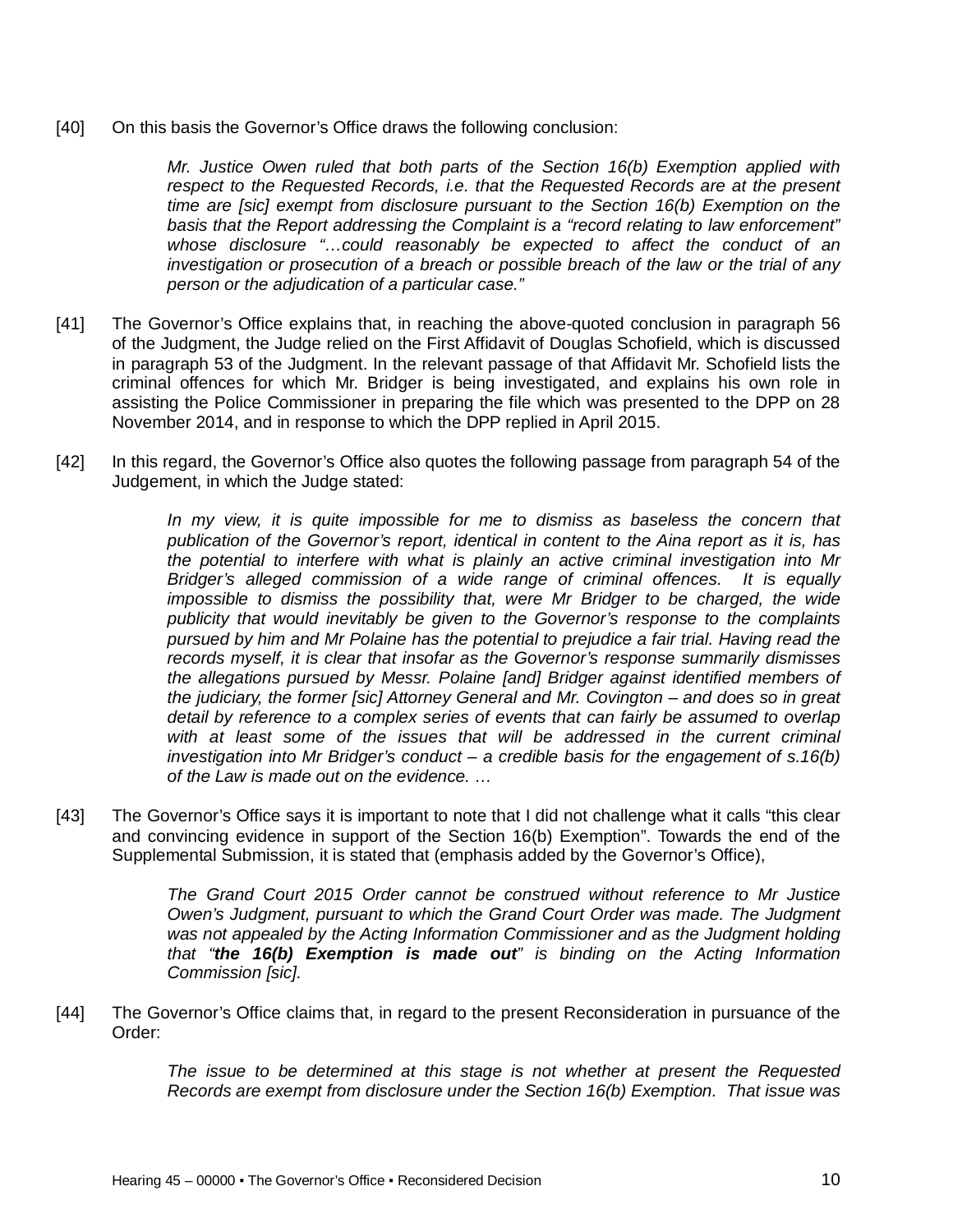[40] On this basis the Governor's Office draws the following conclusion:

*Mr. Justice Owen ruled that both parts of the Section 16(b) Exemption applied with respect to the Requested Records, i.e. that the Requested Records are at the present time are [sic] exempt from disclosure pursuant to the Section 16(b) Exemption on the basis that the Report addressing the Complaint is a "record relating to law enforcement" whose disclosure "…could reasonably be expected to affect the conduct of an investigation or prosecution of a breach or possible breach of the law or the trial of any person or the adjudication of a particular case."*

- [41] The Governor's Office explains that, in reaching the above-quoted conclusion in paragraph 56 of the Judgment, the Judge relied on the First Affidavit of Douglas Schofield, which is discussed in paragraph 53 of the Judgment. In the relevant passage of that Affidavit Mr. Schofield lists the criminal offences for which Mr. Bridger is being investigated, and explains his own role in assisting the Police Commissioner in preparing the file which was presented to the DPP on 28 November 2014, and in response to which the DPP replied in April 2015.
- [42] In this regard, the Governor's Office also quotes the following passage from paragraph 54 of the Judgement, in which the Judge stated:

*In my view, it is quite impossible for me to dismiss as baseless the concern that publication of the Governor's report, identical in content to the Aina report as it is, has the potential to interfere with what is plainly an active criminal investigation into Mr Bridger's alleged commission of a wide range of criminal offences. It is equally impossible to dismiss the possibility that, were Mr Bridger to be charged, the wide publicity that would inevitably be given to the Governor's response to the complaints pursued by him and Mr Polaine has the potential to prejudice a fair trial. Having read the records myself, it is clear that insofar as the Governor's response summarily dismisses the allegations pursued by Messr. Polaine [and] Bridger against identified members of the judiciary, the former [sic] Attorney General and Mr. Covington – and does so in great detail by reference to a complex series of events that can fairly be assumed to overlap*  with at least some of the issues that will be addressed in the current criminal *investigation into Mr Bridger's conduct – a credible basis for the engagement of s.16(b) of the Law is made out on the evidence. …*

[43] The Governor's Office says it is important to note that I did not challenge what it calls "this clear and convincing evidence in support of the Section 16(b) Exemption". Towards the end of the Supplemental Submission, it is stated that (emphasis added by the Governor's Office),

> *The Grand Court 2015 Order cannot be construed without reference to Mr Justice Owen's Judgment, pursuant to which the Grand Court Order was made. The Judgment*  was not appealed by the Acting Information Commissioner and as the Judgment holding *that "the 16(b) Exemption is made out" is binding on the Acting Information Commission [sic].*

[44] The Governor's Office claims that, in regard to the present Reconsideration in pursuance of the Order:

> *The issue to be determined at this stage is not whether at present the Requested Records are exempt from disclosure under the Section 16(b) Exemption. That issue was*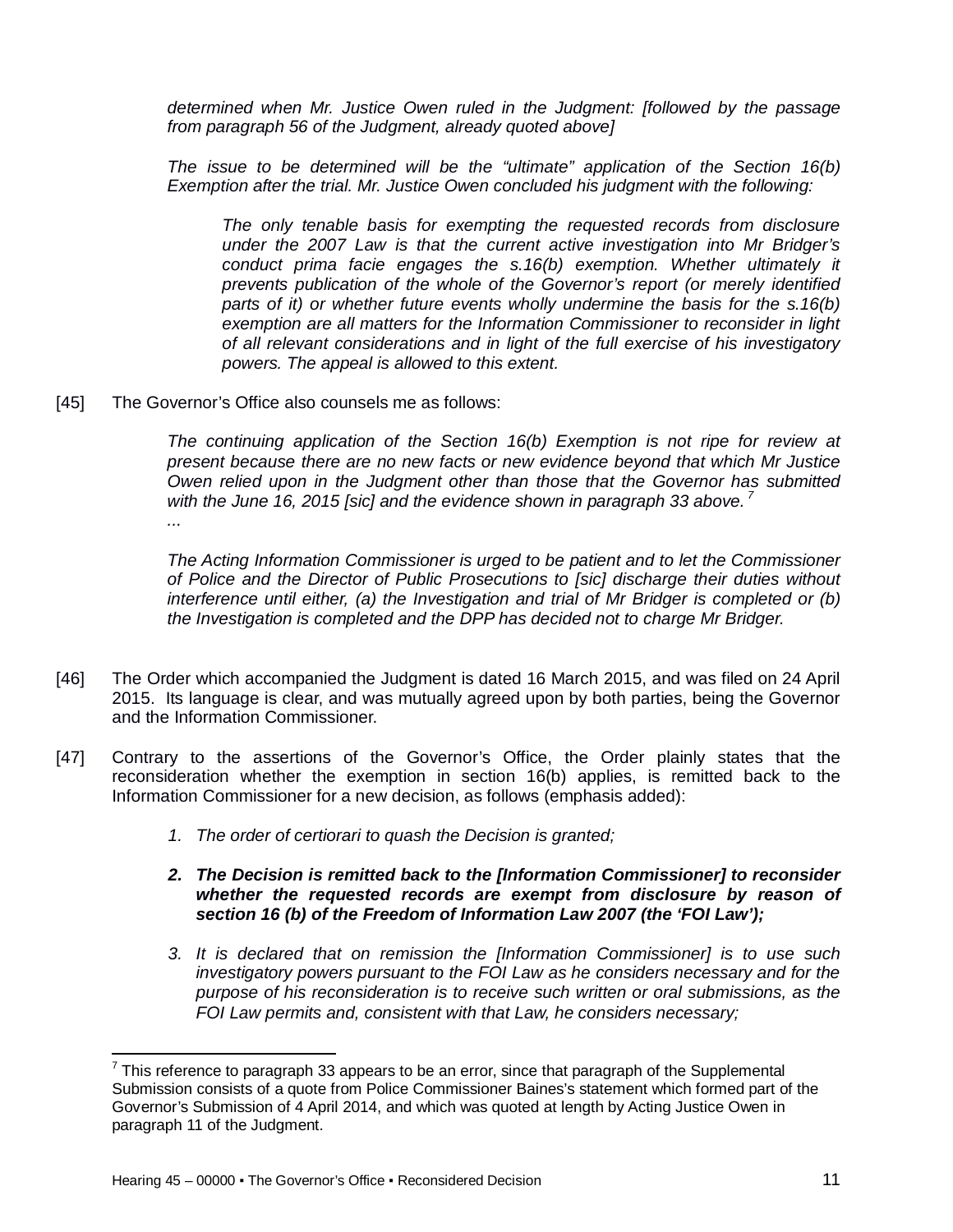*determined when Mr. Justice Owen ruled in the Judgment: [followed by the passage from paragraph 56 of the Judgment, already quoted above]*

*The issue to be determined will be the "ultimate" application of the Section 16(b) Exemption after the trial. Mr. Justice Owen concluded his judgment with the following:*

*The only tenable basis for exempting the requested records from disclosure under the 2007 Law is that the current active investigation into Mr Bridger's conduct prima facie engages the s.16(b) exemption. Whether ultimately it prevents publication of the whole of the Governor's report (or merely identified parts of it) or whether future events wholly undermine the basis for the s.16(b) exemption are all matters for the Information Commissioner to reconsider in light of all relevant considerations and in light of the full exercise of his investigatory powers. The appeal is allowed to this extent.* 

[45] The Governor's Office also counsels me as follows:

*The continuing application of the Section 16(b) Exemption is not ripe for review at present because there are no new facts or new evidence beyond that which Mr Justice Owen relied upon in the Judgment other than those that the Governor has submitted with the June 16, 2015 [sic] and the evidence shown in paragraph 33 above. <sup>7</sup> ...*

*The Acting Information Commissioner is urged to be patient and to let the Commissioner of Police and the Director of Public Prosecutions to [sic] discharge their duties without interference until either, (a) the Investigation and trial of Mr Bridger is completed or (b) the Investigation is completed and the DPP has decided not to charge Mr Bridger.*

- [46] The Order which accompanied the Judgment is dated 16 March 2015, and was filed on 24 April 2015. Its language is clear, and was mutually agreed upon by both parties, being the Governor and the Information Commissioner.
- [47] Contrary to the assertions of the Governor's Office, the Order plainly states that the reconsideration whether the exemption in section 16(b) applies, is remitted back to the Information Commissioner for a new decision, as follows (emphasis added):
	- *1. The order of certiorari to quash the Decision is granted;*
	- *2. The Decision is remitted back to the [Information Commissioner] to reconsider whether the requested records are exempt from disclosure by reason of section 16 (b) of the Freedom of Information Law 2007 (the 'FOI Law');*
	- *3. It is declared that on remission the [Information Commissioner] is to use such investigatory powers pursuant to the FOI Law as he considers necessary and for the purpose of his reconsideration is to receive such written or oral submissions, as the FOI Law permits and, consistent with that Law, he considers necessary;*

 $\overline{a}$  $7$  This reference to paragraph 33 appears to be an error, since that paragraph of the Supplemental Submission consists of a quote from Police Commissioner Baines's statement which formed part of the Governor's Submission of 4 April 2014, and which was quoted at length by Acting Justice Owen in paragraph 11 of the Judgment.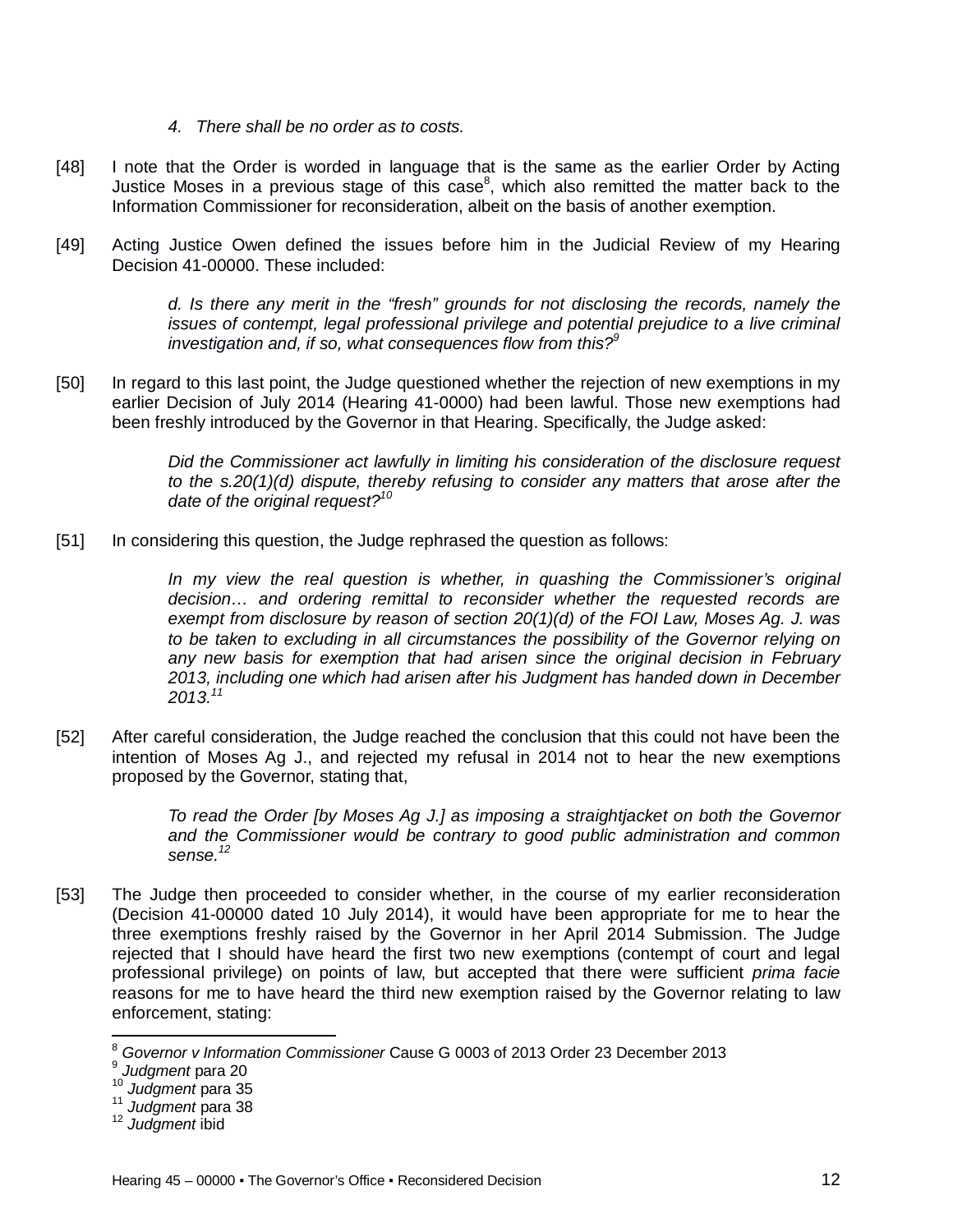- *4. There shall be no order as to costs.*
- [48] I note that the Order is worded in language that is the same as the earlier Order by Acting Justice Moses in a previous stage of this case $8$ , which also remitted the matter back to the Information Commissioner for reconsideration, albeit on the basis of another exemption.
- [49] Acting Justice Owen defined the issues before him in the Judicial Review of my Hearing Decision 41-00000. These included:

*d. Is there any merit in the "fresh" grounds for not disclosing the records, namely the issues of contempt, legal professional privilege and potential prejudice to a live criminal investigation and, if so, what consequences flow from this?<sup>9</sup>*

[50] In regard to this last point, the Judge questioned whether the rejection of new exemptions in my earlier Decision of July 2014 (Hearing 41-0000) had been lawful. Those new exemptions had been freshly introduced by the Governor in that Hearing. Specifically, the Judge asked:

> *Did the Commissioner act lawfully in limiting his consideration of the disclosure request to the s.20(1)(d) dispute, thereby refusing to consider any matters that arose after the date of the original request?<sup>10</sup>*

[51] In considering this question, the Judge rephrased the question as follows:

*In my view the real question is whether, in quashing the Commissioner's original decision… and ordering remittal to reconsider whether the requested records are exempt from disclosure by reason of section 20(1)(d) of the FOI Law, Moses Ag. J. was to be taken to excluding in all circumstances the possibility of the Governor relying on any new basis for exemption that had arisen since the original decision in February 2013, including one which had arisen after his Judgment has handed down in December 2013.<sup>11</sup>*

[52] After careful consideration, the Judge reached the conclusion that this could not have been the intention of Moses Ag J., and rejected my refusal in 2014 not to hear the new exemptions proposed by the Governor, stating that,

> *To read the Order [by Moses Ag J.] as imposing a straightjacket on both the Governor and the Commissioner would be contrary to good public administration and common sense.<sup>12</sup>*

[53] The Judge then proceeded to consider whether, in the course of my earlier reconsideration (Decision 41-00000 dated 10 July 2014), it would have been appropriate for me to hear the three exemptions freshly raised by the Governor in her April 2014 Submission. The Judge rejected that I should have heard the first two new exemptions (contempt of court and legal professional privilege) on points of law, but accepted that there were sufficient *prima facie* reasons for me to have heard the third new exemption raised by the Governor relating to law enforcement, stating:

 $\overline{\phantom{a}}$ <sup>8</sup> *Governor v Information Commissioner* Cause G 0003 of 2013 Order 23 December 2013

<sup>9</sup> *Judgment* para 20

<sup>10</sup> *Judgment* para 35

<sup>11</sup> *Judgment* para 38

<sup>12</sup> *Judgment* ibid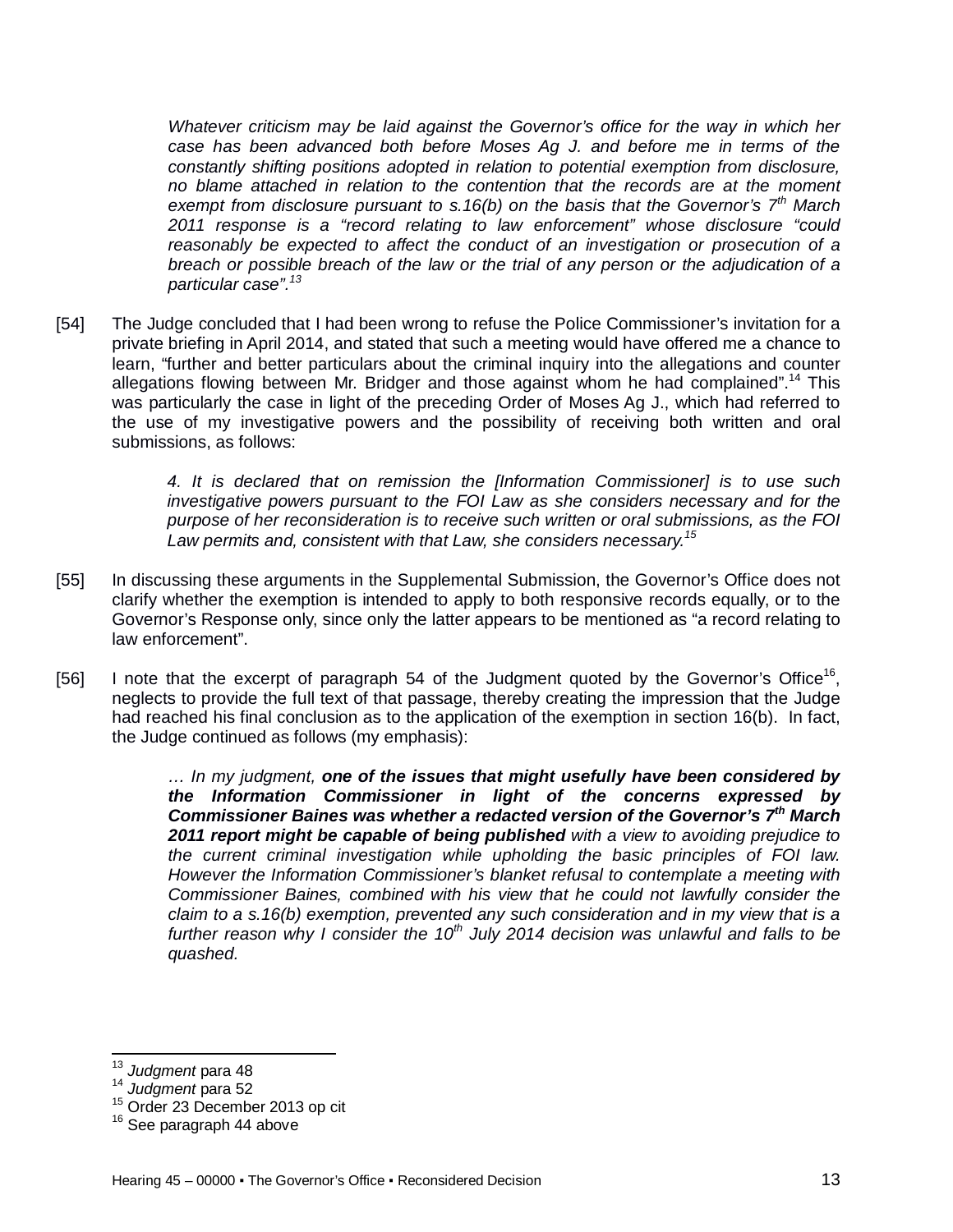*Whatever criticism may be laid against the Governor's office for the way in which her case has been advanced both before Moses Ag J. and before me in terms of the constantly shifting positions adopted in relation to potential exemption from disclosure, no blame attached in relation to the contention that the records are at the moment exempt from disclosure pursuant to s.16(b) on the basis that the Governor's 7th March 2011 response is a "record relating to law enforcement" whose disclosure "could reasonably be expected to affect the conduct of an investigation or prosecution of a breach or possible breach of the law or the trial of any person or the adjudication of a particular case".<sup>13</sup>*

[54] The Judge concluded that I had been wrong to refuse the Police Commissioner's invitation for a private briefing in April 2014, and stated that such a meeting would have offered me a chance to learn, "further and better particulars about the criminal inquiry into the allegations and counter allegations flowing between Mr. Bridger and those against whom he had complained".<sup>14</sup> This was particularly the case in light of the preceding Order of Moses Ag J., which had referred to the use of my investigative powers and the possibility of receiving both written and oral submissions, as follows:

> *4. It is declared that on remission the [Information Commissioner] is to use such investigative powers pursuant to the FOI Law as she considers necessary and for the purpose of her reconsideration is to receive such written or oral submissions, as the FOI Law permits and, consistent with that Law, she considers necessary.<sup>15</sup>*

- [55] In discussing these arguments in the Supplemental Submission, the Governor's Office does not clarify whether the exemption is intended to apply to both responsive records equally, or to the Governor's Response only, since only the latter appears to be mentioned as "a record relating to law enforcement".
- [56] I note that the excerpt of paragraph 54 of the Judgment quoted by the Governor's Office<sup>16</sup>, neglects to provide the full text of that passage, thereby creating the impression that the Judge had reached his final conclusion as to the application of the exemption in section 16(b). In fact, the Judge continued as follows (my emphasis):

*… In my judgment, one of the issues that might usefully have been considered by the Information Commissioner in light of the concerns expressed by Commissioner Baines was whether a redacted version of the Governor's 7th March 2011 report might be capable of being published with a view to avoiding prejudice to the current criminal investigation while upholding the basic principles of FOI law. However the Information Commissioner's blanket refusal to contemplate a meeting with Commissioner Baines, combined with his view that he could not lawfully consider the claim to a s.16(b) exemption, prevented any such consideration and in my view that is a further reason why I consider the 10th July 2014 decision was unlawful and falls to be quashed.*

 $\overline{a}$ 

<sup>13</sup> *Judgment* para 48

<sup>14</sup> *Judgment* para 52

<sup>15</sup> Order 23 December 2013 op cit

<sup>&</sup>lt;sup>16</sup> See paragraph 44 above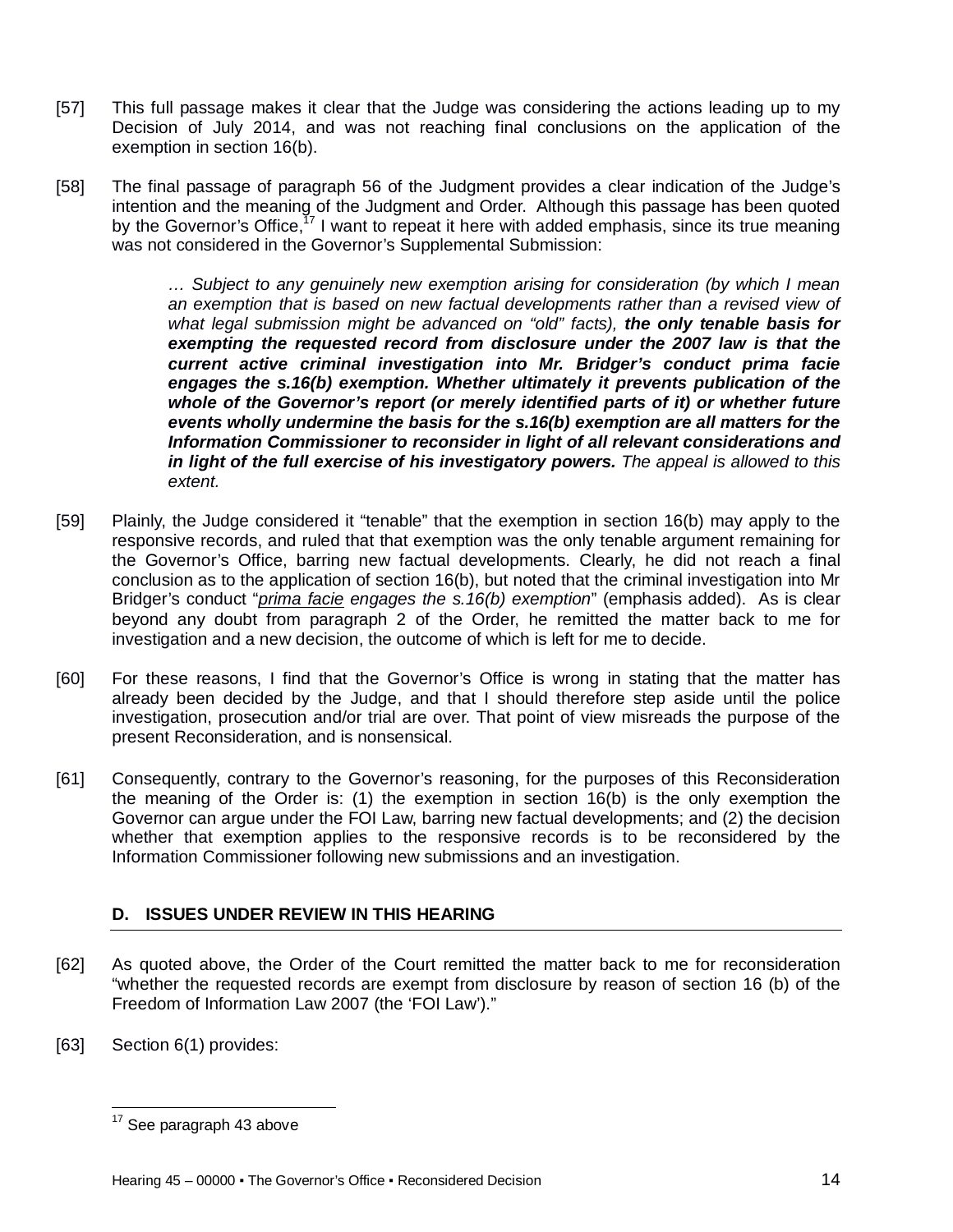- [57] This full passage makes it clear that the Judge was considering the actions leading up to my Decision of July 2014, and was not reaching final conclusions on the application of the exemption in section 16(b).
- [58] The final passage of paragraph 56 of the Judgment provides a clear indication of the Judge's intention and the meaning of the Judgment and Order. Although this passage has been quoted by the Governor's Office,<sup>17</sup> I want to repeat it here with added emphasis, since its true meaning was not considered in the Governor's Supplemental Submission:

*… Subject to any genuinely new exemption arising for consideration (by which I mean an exemption that is based on new factual developments rather than a revised view of what legal submission might be advanced on "old" facts), the only tenable basis for exempting the requested record from disclosure under the 2007 law is that the current active criminal investigation into Mr. Bridger's conduct prima facie engages the s.16(b) exemption. Whether ultimately it prevents publication of the whole of the Governor's report (or merely identified parts of it) or whether future events wholly undermine the basis for the s.16(b) exemption are all matters for the Information Commissioner to reconsider in light of all relevant considerations and in light of the full exercise of his investigatory powers. The appeal is allowed to this extent.*

- [59] Plainly, the Judge considered it "tenable" that the exemption in section 16(b) may apply to the responsive records, and ruled that that exemption was the only tenable argument remaining for the Governor's Office, barring new factual developments. Clearly, he did not reach a final conclusion as to the application of section 16(b), but noted that the criminal investigation into Mr Bridger's conduct "*prima facie engages the s.16(b) exemption*" (emphasis added). As is clear beyond any doubt from paragraph 2 of the Order, he remitted the matter back to me for investigation and a new decision, the outcome of which is left for me to decide.
- [60] For these reasons, I find that the Governor's Office is wrong in stating that the matter has already been decided by the Judge, and that I should therefore step aside until the police investigation, prosecution and/or trial are over. That point of view misreads the purpose of the present Reconsideration, and is nonsensical.
- [61] Consequently, contrary to the Governor's reasoning, for the purposes of this Reconsideration the meaning of the Order is: (1) the exemption in section 16(b) is the only exemption the Governor can argue under the FOI Law, barring new factual developments; and (2) the decision whether that exemption applies to the responsive records is to be reconsidered by the Information Commissioner following new submissions and an investigation.

# **D. ISSUES UNDER REVIEW IN THIS HEARING**

- [62] As quoted above, the Order of the Court remitted the matter back to me for reconsideration "whether the requested records are exempt from disclosure by reason of section 16 (b) of the Freedom of Information Law 2007 (the 'FOI Law')."
- [63] Section 6(1) provides:

 $\overline{\phantom{a}}$  $17$  See paragraph 43 above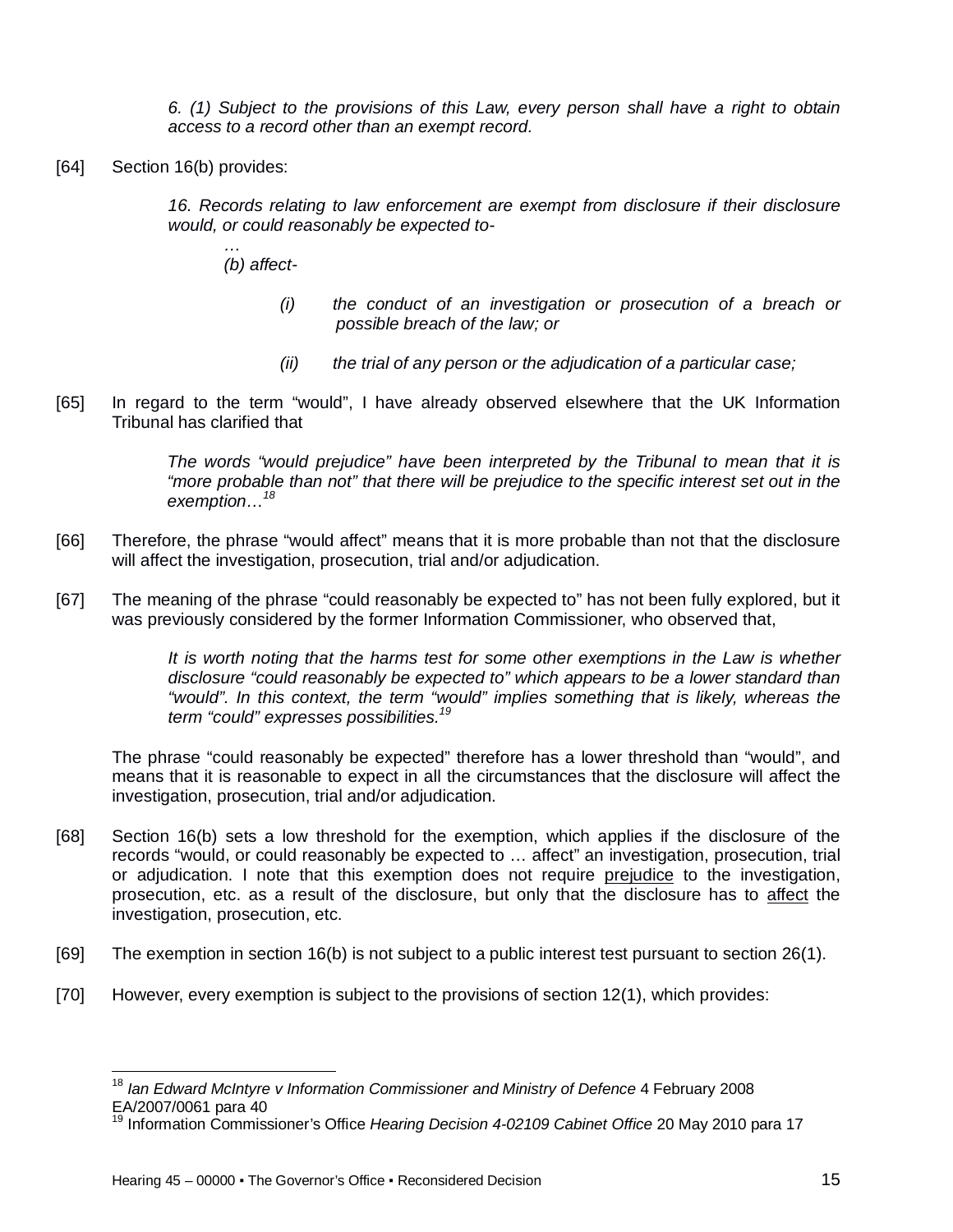*6. (1) Subject to the provisions of this Law, every person shall have a right to obtain access to a record other than an exempt record.*

[64] Section 16(b) provides:

*16. Records relating to law enforcement are exempt from disclosure if their disclosure would, or could reasonably be expected to-*

- *… (b) affect-*
	- *(i) the conduct of an investigation or prosecution of a breach or possible breach of the law; or*
	- *(ii) the trial of any person or the adjudication of a particular case;*
- [65] In regard to the term "would", I have already observed elsewhere that the UK Information Tribunal has clarified that

*The words "would prejudice" have been interpreted by the Tribunal to mean that it is "more probable than not" that there will be prejudice to the specific interest set out in the exemption…<sup>18</sup>*

- [66] Therefore, the phrase "would affect" means that it is more probable than not that the disclosure will affect the investigation, prosecution, trial and/or adjudication.
- [67] The meaning of the phrase "could reasonably be expected to" has not been fully explored, but it was previously considered by the former Information Commissioner, who observed that,

*It is worth noting that the harms test for some other exemptions in the Law is whether disclosure "could reasonably be expected to" which appears to be a lower standard than "would". In this context, the term "would" implies something that is likely, whereas the term "could" expresses possibilities.<sup>19</sup>*

The phrase "could reasonably be expected" therefore has a lower threshold than "would", and means that it is reasonable to expect in all the circumstances that the disclosure will affect the investigation, prosecution, trial and/or adjudication.

- [68] Section 16(b) sets a low threshold for the exemption, which applies if the disclosure of the records "would, or could reasonably be expected to … affect" an investigation, prosecution, trial or adjudication. I note that this exemption does not require prejudice to the investigation, prosecution, etc. as a result of the disclosure, but only that the disclosure has to affect the investigation, prosecution, etc.
- [69] The exemption in section 16(b) is not subject to a public interest test pursuant to section 26(1).
- [70] However, every exemption is subject to the provisions of section 12(1), which provides:

 $\overline{a}$ 

<sup>&</sup>lt;sup>18</sup> Ian Edward McIntyre v Information Commissioner and Ministry of Defence 4 February 2008 EA/2007/0061 para 40

<sup>19</sup> Information Commissioner's Office *Hearing Decision 4-02109 Cabinet Office* 20 May 2010 para 17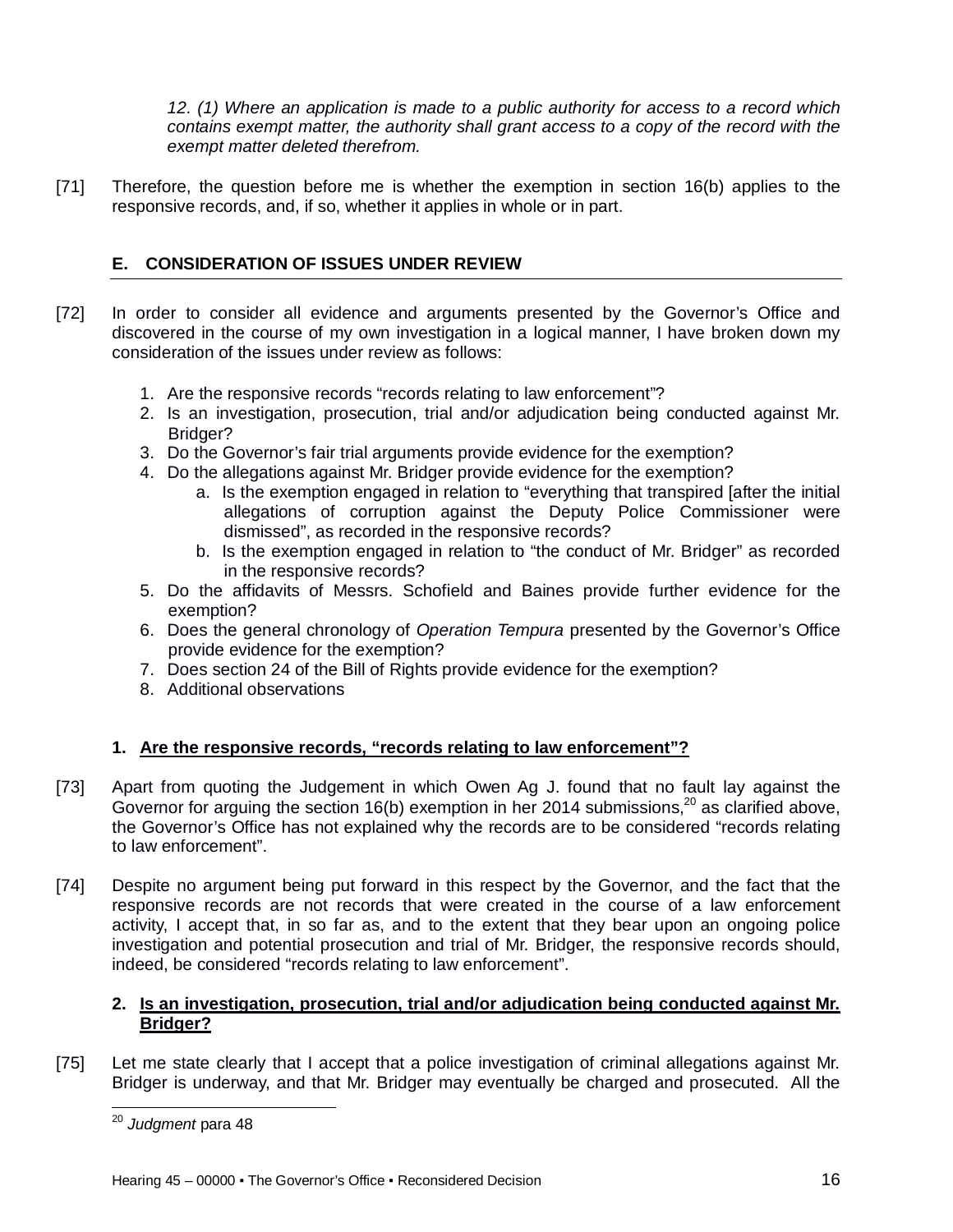*12. (1) Where an application is made to a public authority for access to a record which contains exempt matter, the authority shall grant access to a copy of the record with the exempt matter deleted therefrom.*

[71] Therefore, the question before me is whether the exemption in section 16(b) applies to the responsive records, and, if so, whether it applies in whole or in part.

# **E. CONSIDERATION OF ISSUES UNDER REVIEW**

- [72] In order to consider all evidence and arguments presented by the Governor's Office and discovered in the course of my own investigation in a logical manner, I have broken down my consideration of the issues under review as follows:
	- 1. Are the responsive records "records relating to law enforcement"?
	- 2. Is an investigation, prosecution, trial and/or adjudication being conducted against Mr. Bridger?
	- 3. Do the Governor's fair trial arguments provide evidence for the exemption?
	- 4. Do the allegations against Mr. Bridger provide evidence for the exemption?
		- a. Is the exemption engaged in relation to "everything that transpired [after the initial allegations of corruption against the Deputy Police Commissioner were dismissed", as recorded in the responsive records?
		- b. Is the exemption engaged in relation to "the conduct of Mr. Bridger" as recorded in the responsive records?
	- 5. Do the affidavits of Messrs. Schofield and Baines provide further evidence for the exemption?
	- 6. Does the general chronology of *Operation Tempura* presented by the Governor's Office provide evidence for the exemption?
	- 7. Does section 24 of the Bill of Rights provide evidence for the exemption?
	- 8. Additional observations

# **1. Are the responsive records, "records relating to law enforcement"?**

- [73] Apart from quoting the Judgement in which Owen Ag J. found that no fault lay against the Governor for arguing the section 16(b) exemption in her 2014 submissions,<sup>20</sup> as clarified above, the Governor's Office has not explained why the records are to be considered "records relating to law enforcement".
- [74] Despite no argument being put forward in this respect by the Governor, and the fact that the responsive records are not records that were created in the course of a law enforcement activity, I accept that, in so far as, and to the extent that they bear upon an ongoing police investigation and potential prosecution and trial of Mr. Bridger, the responsive records should, indeed, be considered "records relating to law enforcement".

## **2. Is an investigation, prosecution, trial and/or adjudication being conducted against Mr. Bridger?**

[75] Let me state clearly that I accept that a police investigation of criminal allegations against Mr. Bridger is underway, and that Mr. Bridger may eventually be charged and prosecuted. All the

 $\overline{\phantom{a}}$ <sup>20</sup> *Judgment* para 48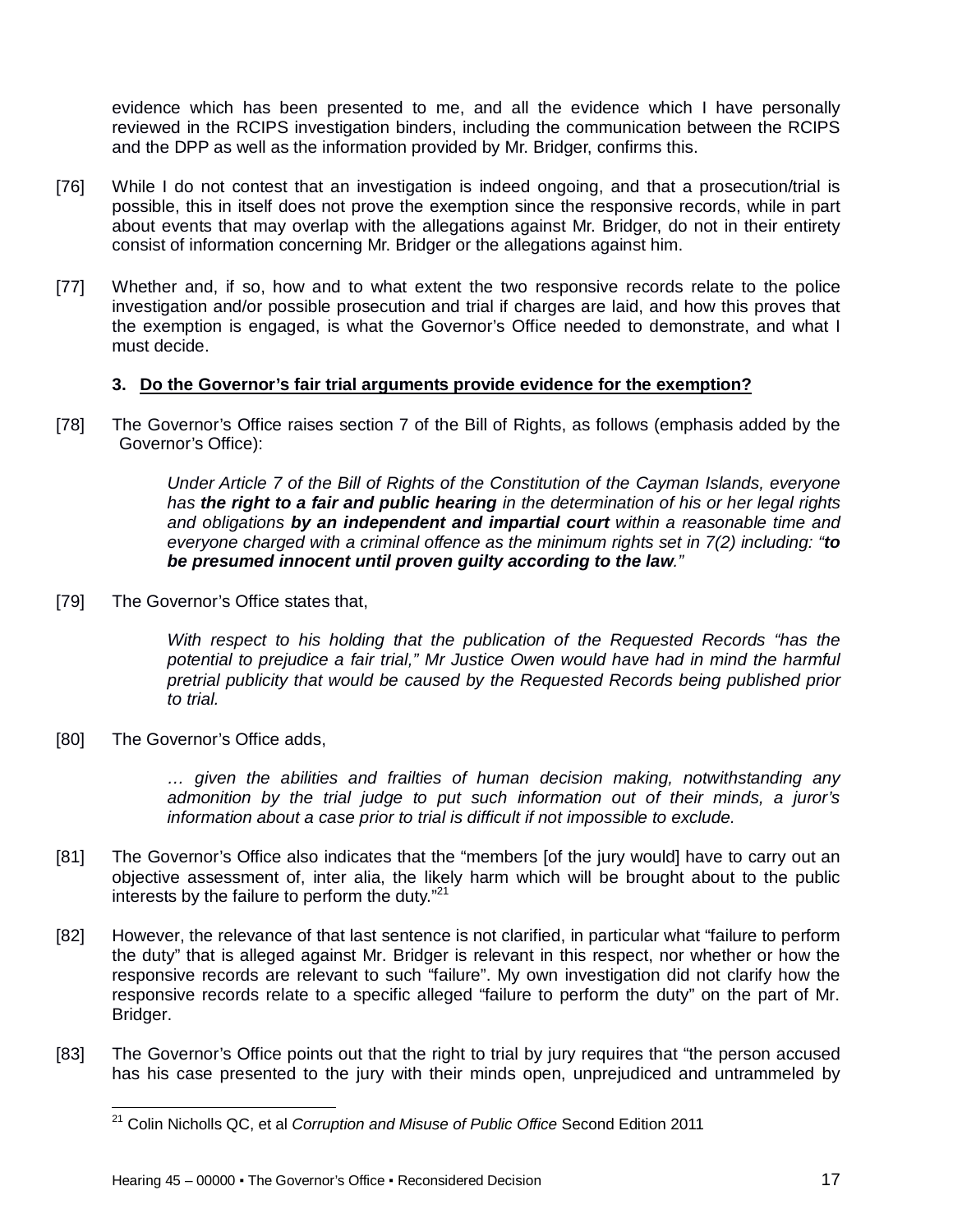evidence which has been presented to me, and all the evidence which I have personally reviewed in the RCIPS investigation binders, including the communication between the RCIPS and the DPP as well as the information provided by Mr. Bridger, confirms this.

- [76] While I do not contest that an investigation is indeed ongoing, and that a prosecution/trial is possible, this in itself does not prove the exemption since the responsive records, while in part about events that may overlap with the allegations against Mr. Bridger, do not in their entirety consist of information concerning Mr. Bridger or the allegations against him.
- [77] Whether and, if so, how and to what extent the two responsive records relate to the police investigation and/or possible prosecution and trial if charges are laid, and how this proves that the exemption is engaged, is what the Governor's Office needed to demonstrate, and what I must decide.

## **3. Do the Governor's fair trial arguments provide evidence for the exemption?**

[78] The Governor's Office raises section 7 of the Bill of Rights, as follows (emphasis added by the Governor's Office):

> *Under Article 7 of the Bill of Rights of the Constitution of the Cayman Islands, everyone has the right to a fair and public hearing in the determination of his or her legal rights and obligations by an independent and impartial court within a reasonable time and everyone charged with a criminal offence as the minimum rights set in 7(2) including: "to be presumed innocent until proven guilty according to the law."*

[79] The Governor's Office states that,

*With respect to his holding that the publication of the Requested Records "has the potential to prejudice a fair trial," Mr Justice Owen would have had in mind the harmful pretrial publicity that would be caused by the Requested Records being published prior to trial.* 

[80] The Governor's Office adds,

*… given the abilities and frailties of human decision making, notwithstanding any admonition by the trial judge to put such information out of their minds, a juror's information about a case prior to trial is difficult if not impossible to exclude.*

- [81] The Governor's Office also indicates that the "members [of the jury would] have to carry out an objective assessment of, inter alia, the likely harm which will be brought about to the public interests by the failure to perform the duty."<sup>21</sup>
- [82] However, the relevance of that last sentence is not clarified, in particular what "failure to perform the duty" that is alleged against Mr. Bridger is relevant in this respect, nor whether or how the responsive records are relevant to such "failure". My own investigation did not clarify how the responsive records relate to a specific alleged "failure to perform the duty" on the part of Mr. Bridger.
- [83] The Governor's Office points out that the right to trial by jury requires that "the person accused has his case presented to the jury with their minds open, unprejudiced and untrammeled by

 $\overline{\phantom{a}}$ <sup>21</sup> Colin Nicholls QC, et al *Corruption and Misuse of Public Office* Second Edition 2011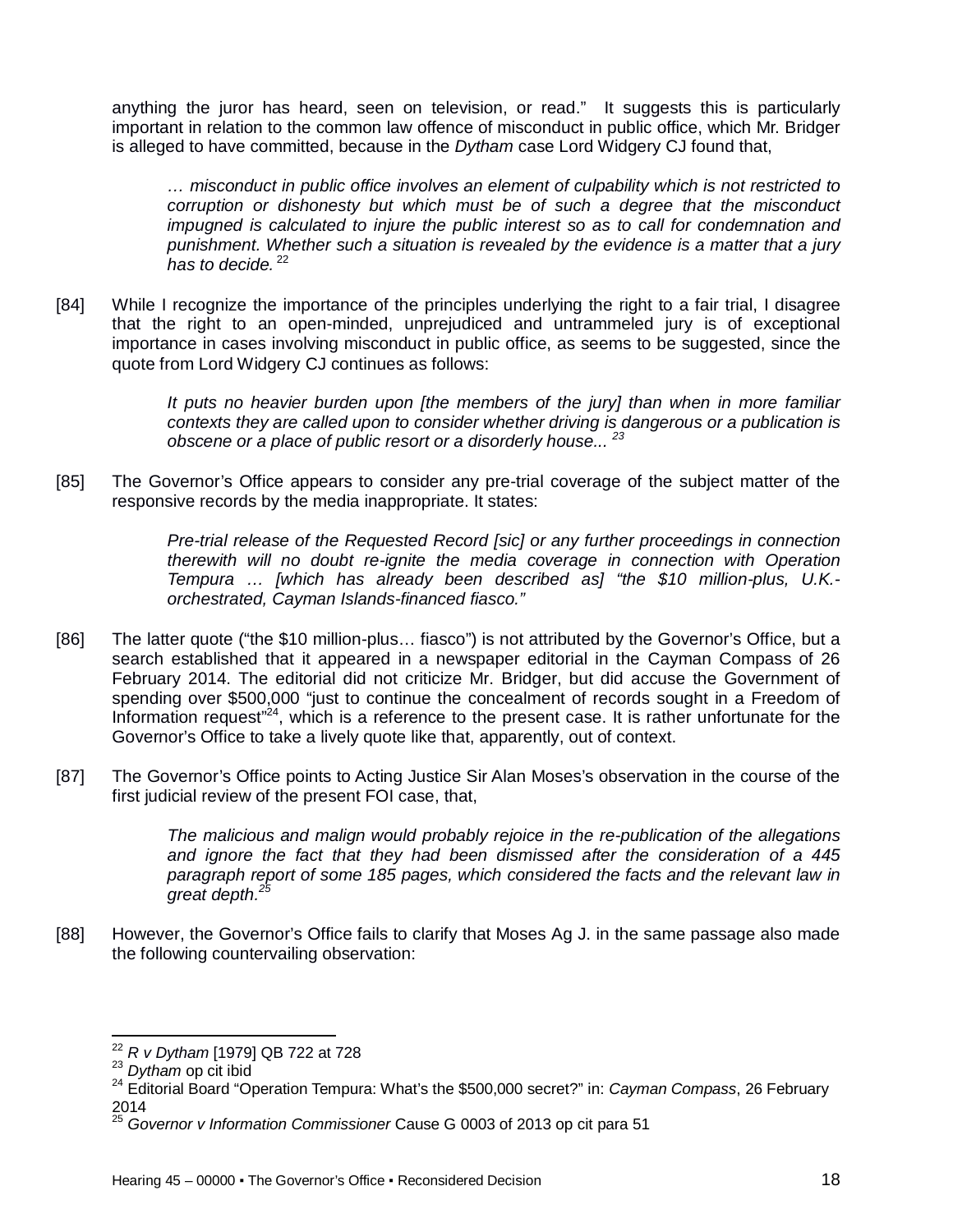anything the juror has heard, seen on television, or read." It suggests this is particularly important in relation to the common law offence of misconduct in public office, which Mr. Bridger is alleged to have committed, because in the *Dytham* case Lord Widgery CJ found that,

*… misconduct in public office involves an element of culpability which is not restricted to corruption or dishonesty but which must be of such a degree that the misconduct impugned is calculated to injure the public interest so as to call for condemnation and punishment. Whether such a situation is revealed by the evidence is a matter that a jury*  has to decide.<sup>22</sup>

[84] While I recognize the importance of the principles underlying the right to a fair trial, I disagree that the right to an open-minded, unprejudiced and untrammeled jury is of exceptional importance in cases involving misconduct in public office, as seems to be suggested, since the quote from Lord Widgery CJ continues as follows:

> *It puts no heavier burden upon [the members of the jury] than when in more familiar contexts they are called upon to consider whether driving is dangerous or a publication is obscene or a place of public resort or a disorderly house... <sup>23</sup>*

[85] The Governor's Office appears to consider any pre-trial coverage of the subject matter of the responsive records by the media inappropriate. It states:

> *Pre-trial release of the Requested Record [sic] or any further proceedings in connection therewith will no doubt re-ignite the media coverage in connection with Operation Tempura … [which has already been described as] "the \$10 million-plus, U.K. orchestrated, Cayman Islands-financed fiasco."*

- [86] The latter quote ("the \$10 million-plus... fiasco") is not attributed by the Governor's Office, but a search established that it appeared in a newspaper editorial in the Cayman Compass of 26 February 2014. The editorial did not criticize Mr. Bridger, but did accuse the Government of spending over \$500,000 "just to continue the concealment of records sought in a Freedom of Information request<sup>124</sup>, which is a reference to the present case. It is rather unfortunate for the Governor's Office to take a lively quote like that, apparently, out of context.
- [87] The Governor's Office points to Acting Justice Sir Alan Moses's observation in the course of the first judicial review of the present FOI case, that,

*The malicious and malign would probably rejoice in the re-publication of the allegations and ignore the fact that they had been dismissed after the consideration of a 445 paragraph report of some 185 pages, which considered the facts and the relevant law in great depth.<sup>25</sup>*

[88] However, the Governor's Office fails to clarify that Moses Ag J. in the same passage also made the following countervailing observation:

 $\overline{\phantom{a}}$ <sup>22</sup> *R v Dytham* [1979] QB 722 at 728

<sup>23</sup> *Dytham* op cit ibid

<sup>24</sup> Editorial Board "Operation Tempura: What's the \$500,000 secret?" in: *Cayman Compass*, 26 February  $^{2014}_{25}$ 

<sup>25</sup> *Governor v Information Commissioner* Cause G 0003 of 2013 op cit para 51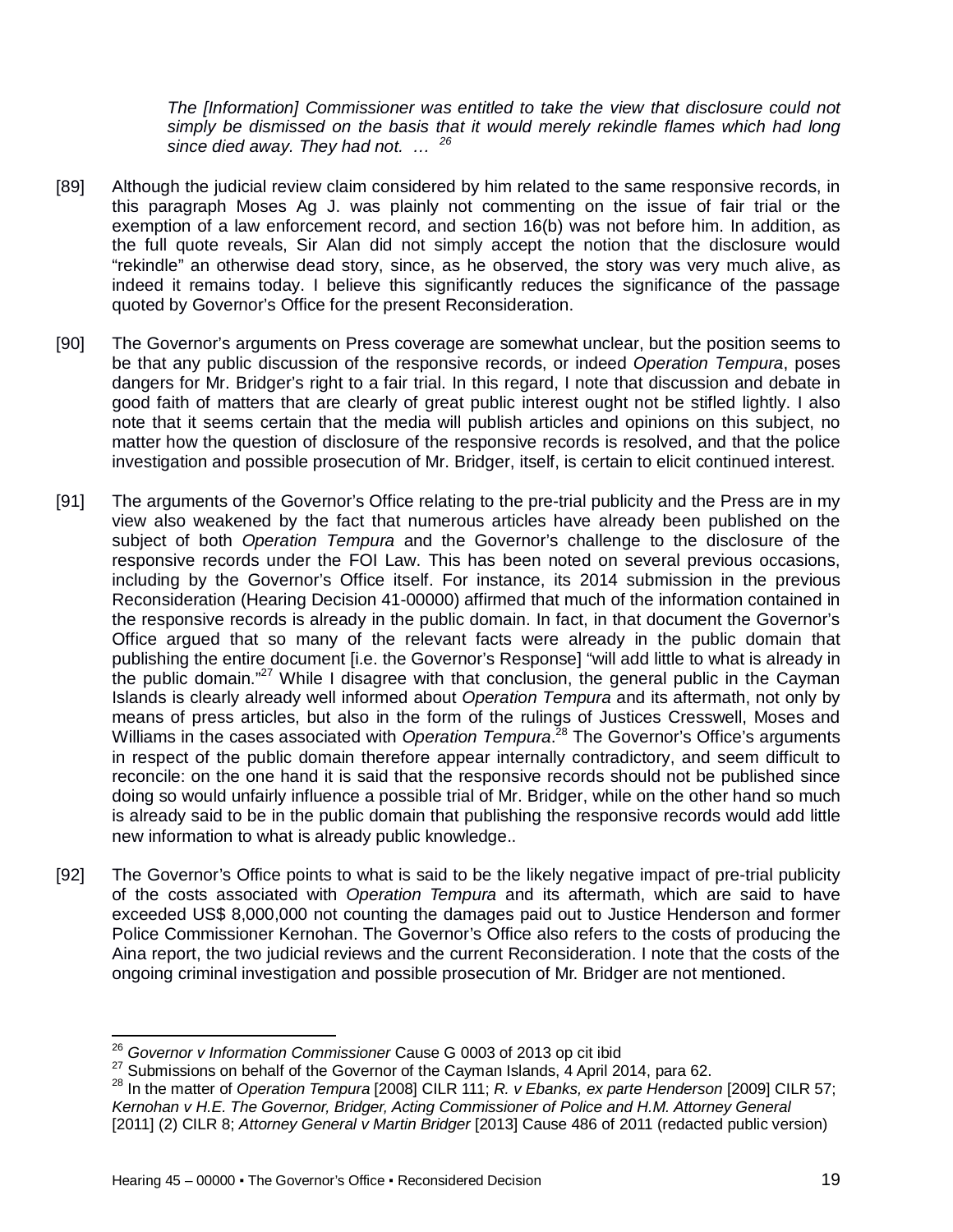*The [Information] Commissioner was entitled to take the view that disclosure could not simply be dismissed on the basis that it would merely rekindle flames which had long since died away. They had not. … <sup>26</sup>*

- [89] Although the judicial review claim considered by him related to the same responsive records, in this paragraph Moses Ag J. was plainly not commenting on the issue of fair trial or the exemption of a law enforcement record, and section 16(b) was not before him. In addition, as the full quote reveals, Sir Alan did not simply accept the notion that the disclosure would "rekindle" an otherwise dead story, since, as he observed, the story was very much alive, as indeed it remains today. I believe this significantly reduces the significance of the passage quoted by Governor's Office for the present Reconsideration.
- [90] The Governor's arguments on Press coverage are somewhat unclear, but the position seems to be that any public discussion of the responsive records, or indeed *Operation Tempura*, poses dangers for Mr. Bridger's right to a fair trial. In this regard, I note that discussion and debate in good faith of matters that are clearly of great public interest ought not be stifled lightly. I also note that it seems certain that the media will publish articles and opinions on this subject, no matter how the question of disclosure of the responsive records is resolved, and that the police investigation and possible prosecution of Mr. Bridger, itself, is certain to elicit continued interest.
- [91] The arguments of the Governor's Office relating to the pre-trial publicity and the Press are in my view also weakened by the fact that numerous articles have already been published on the subject of both *Operation Tempura* and the Governor's challenge to the disclosure of the responsive records under the FOI Law. This has been noted on several previous occasions, including by the Governor's Office itself. For instance, its 2014 submission in the previous Reconsideration (Hearing Decision 41-00000) affirmed that much of the information contained in the responsive records is already in the public domain. In fact, in that document the Governor's Office argued that so many of the relevant facts were already in the public domain that publishing the entire document [i.e. the Governor's Response] "will add little to what is already in the public domain."<sup>27</sup> While I disagree with that conclusion, the general public in the Cayman Islands is clearly already well informed about *Operation Tempura* and its aftermath, not only by means of press articles, but also in the form of the rulings of Justices Cresswell, Moses and Williams in the cases associated with *Operation Tempura*. <sup>28</sup> The Governor's Office's arguments in respect of the public domain therefore appear internally contradictory, and seem difficult to reconcile: on the one hand it is said that the responsive records should not be published since doing so would unfairly influence a possible trial of Mr. Bridger, while on the other hand so much is already said to be in the public domain that publishing the responsive records would add little new information to what is already public knowledge..
- [92] The Governor's Office points to what is said to be the likely negative impact of pre-trial publicity of the costs associated with *Operation Tempura* and its aftermath, which are said to have exceeded US\$ 8,000,000 not counting the damages paid out to Justice Henderson and former Police Commissioner Kernohan. The Governor's Office also refers to the costs of producing the Aina report, the two judicial reviews and the current Reconsideration. I note that the costs of the ongoing criminal investigation and possible prosecution of Mr. Bridger are not mentioned.

 $\overline{\phantom{a}}$ <sup>26</sup> *Governor v Information Commissioner* Cause G 0003 of 2013 op cit ibid

 $27$  Submissions on behalf of the Governor of the Cayman Islands, 4 April 2014, para 62.

<sup>&</sup>lt;sup>28</sup> In the matter of *Operation Tempura* [2008] CILR 111; *R. v Ebanks, ex parte Henderson* [2009] CILR 57; *Kernohan v H.E. The Governor, Bridger, Acting Commissioner of Police and H.M. Attorney General* [2011] (2) CILR 8; *Attorney General v Martin Bridger* [2013] Cause 486 of 2011 (redacted public version)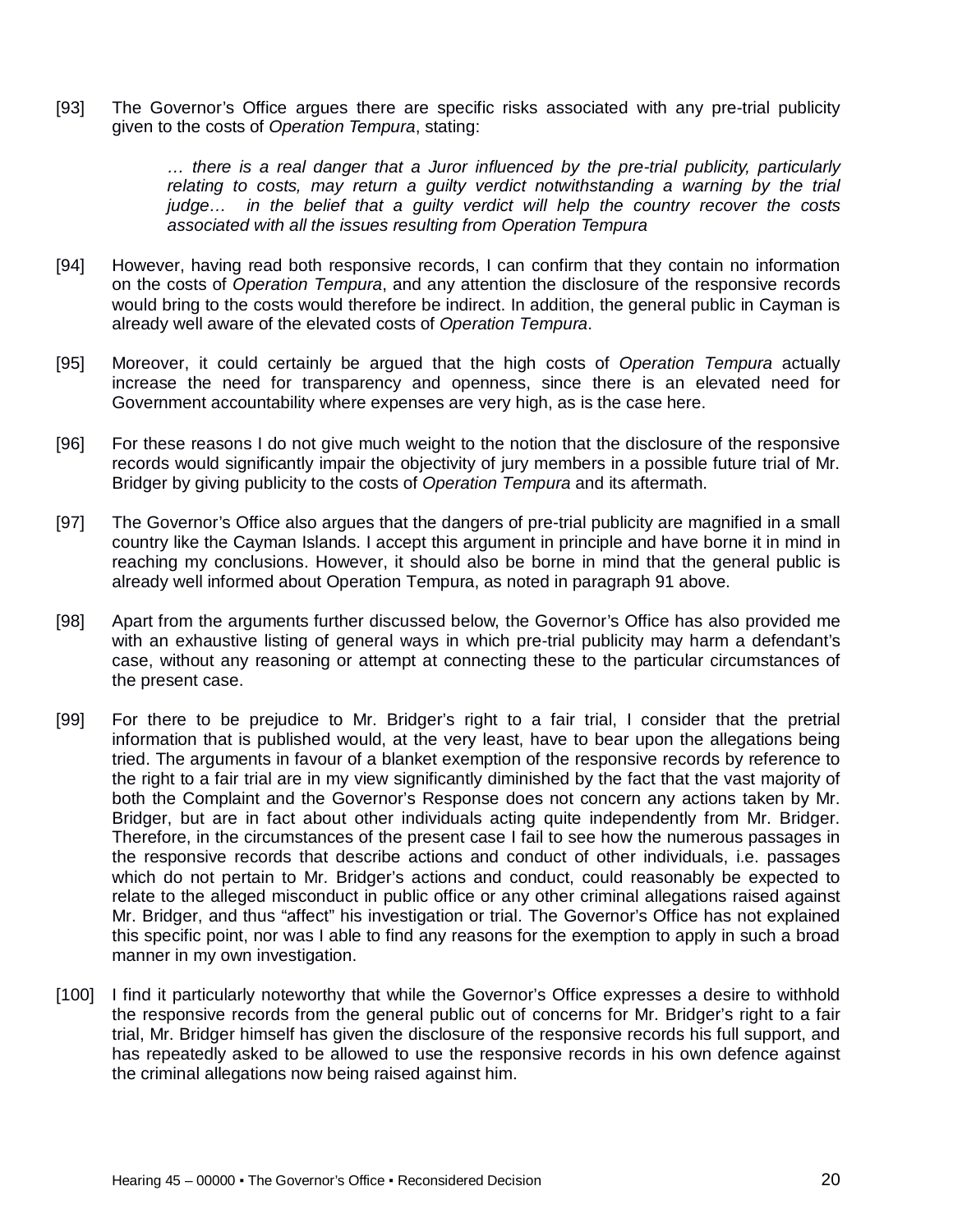[93] The Governor's Office argues there are specific risks associated with any pre-trial publicity given to the costs of *Operation Tempura*, stating:

> *… there is a real danger that a Juror influenced by the pre-trial publicity, particularly relating to costs, may return a guilty verdict notwithstanding a warning by the trial judge… in the belief that a guilty verdict will help the country recover the costs associated with all the issues resulting from Operation Tempura*

- [94] However, having read both responsive records, I can confirm that they contain no information on the costs of *Operation Tempura*, and any attention the disclosure of the responsive records would bring to the costs would therefore be indirect. In addition, the general public in Cayman is already well aware of the elevated costs of *Operation Tempura*.
- [95] Moreover, it could certainly be argued that the high costs of *Operation Tempura* actually increase the need for transparency and openness, since there is an elevated need for Government accountability where expenses are very high, as is the case here.
- [96] For these reasons I do not give much weight to the notion that the disclosure of the responsive records would significantly impair the objectivity of jury members in a possible future trial of Mr. Bridger by giving publicity to the costs of *Operation Tempura* and its aftermath.
- [97] The Governor's Office also argues that the dangers of pre-trial publicity are magnified in a small country like the Cayman Islands. I accept this argument in principle and have borne it in mind in reaching my conclusions. However, it should also be borne in mind that the general public is already well informed about Operation Tempura, as noted in paragraph 91 above.
- [98] Apart from the arguments further discussed below, the Governor's Office has also provided me with an exhaustive listing of general ways in which pre-trial publicity may harm a defendant's case, without any reasoning or attempt at connecting these to the particular circumstances of the present case.
- [99] For there to be prejudice to Mr. Bridger's right to a fair trial, I consider that the pretrial information that is published would, at the very least, have to bear upon the allegations being tried. The arguments in favour of a blanket exemption of the responsive records by reference to the right to a fair trial are in my view significantly diminished by the fact that the vast majority of both the Complaint and the Governor's Response does not concern any actions taken by Mr. Bridger, but are in fact about other individuals acting quite independently from Mr. Bridger. Therefore, in the circumstances of the present case I fail to see how the numerous passages in the responsive records that describe actions and conduct of other individuals, i.e. passages which do not pertain to Mr. Bridger's actions and conduct, could reasonably be expected to relate to the alleged misconduct in public office or any other criminal allegations raised against Mr. Bridger, and thus "affect" his investigation or trial. The Governor's Office has not explained this specific point, nor was I able to find any reasons for the exemption to apply in such a broad manner in my own investigation.
- [100] I find it particularly noteworthy that while the Governor's Office expresses a desire to withhold the responsive records from the general public out of concerns for Mr. Bridger's right to a fair trial, Mr. Bridger himself has given the disclosure of the responsive records his full support, and has repeatedly asked to be allowed to use the responsive records in his own defence against the criminal allegations now being raised against him.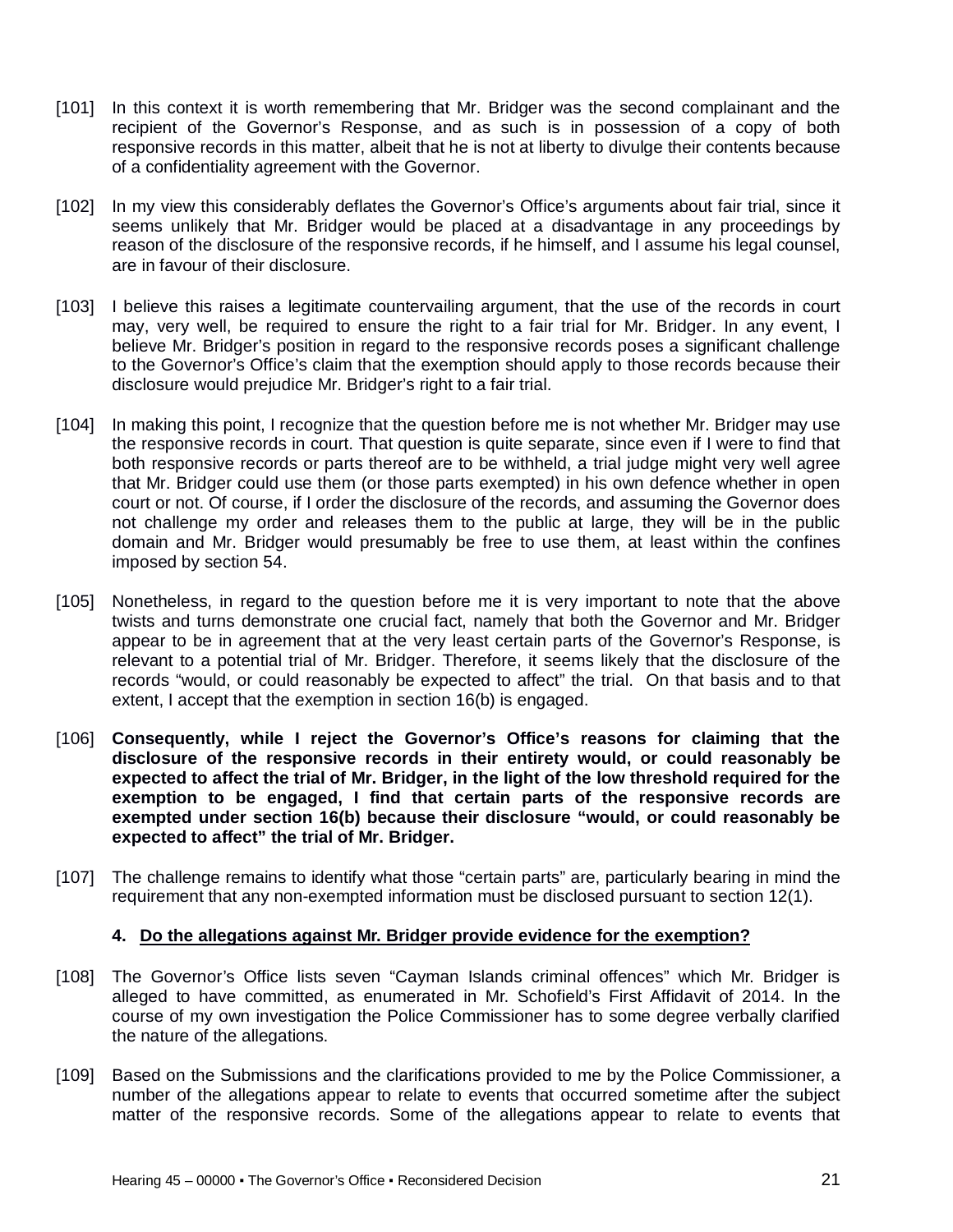- [101] In this context it is worth remembering that Mr. Bridger was the second complainant and the recipient of the Governor's Response, and as such is in possession of a copy of both responsive records in this matter, albeit that he is not at liberty to divulge their contents because of a confidentiality agreement with the Governor.
- [102] In my view this considerably deflates the Governor's Office's arguments about fair trial, since it seems unlikely that Mr. Bridger would be placed at a disadvantage in any proceedings by reason of the disclosure of the responsive records, if he himself, and I assume his legal counsel, are in favour of their disclosure.
- [103] I believe this raises a legitimate countervailing argument, that the use of the records in court may, very well, be required to ensure the right to a fair trial for Mr. Bridger. In any event, I believe Mr. Bridger's position in regard to the responsive records poses a significant challenge to the Governor's Office's claim that the exemption should apply to those records because their disclosure would prejudice Mr. Bridger's right to a fair trial.
- [104] In making this point, I recognize that the question before me is not whether Mr. Bridger may use the responsive records in court. That question is quite separate, since even if I were to find that both responsive records or parts thereof are to be withheld, a trial judge might very well agree that Mr. Bridger could use them (or those parts exempted) in his own defence whether in open court or not. Of course, if I order the disclosure of the records, and assuming the Governor does not challenge my order and releases them to the public at large, they will be in the public domain and Mr. Bridger would presumably be free to use them, at least within the confines imposed by section 54.
- [105] Nonetheless, in regard to the question before me it is very important to note that the above twists and turns demonstrate one crucial fact, namely that both the Governor and Mr. Bridger appear to be in agreement that at the very least certain parts of the Governor's Response, is relevant to a potential trial of Mr. Bridger. Therefore, it seems likely that the disclosure of the records "would, or could reasonably be expected to affect" the trial. On that basis and to that extent, I accept that the exemption in section 16(b) is engaged.
- [106] **Consequently, while I reject the Governor's Office's reasons for claiming that the disclosure of the responsive records in their entirety would, or could reasonably be expected to affect the trial of Mr. Bridger, in the light of the low threshold required for the exemption to be engaged, I find that certain parts of the responsive records are exempted under section 16(b) because their disclosure "would, or could reasonably be expected to affect" the trial of Mr. Bridger.**
- [107] The challenge remains to identify what those "certain parts" are, particularly bearing in mind the requirement that any non-exempted information must be disclosed pursuant to section 12(1).

#### **4. Do the allegations against Mr. Bridger provide evidence for the exemption?**

- [108] The Governor's Office lists seven "Cayman Islands criminal offences" which Mr. Bridger is alleged to have committed, as enumerated in Mr. Schofield's First Affidavit of 2014. In the course of my own investigation the Police Commissioner has to some degree verbally clarified the nature of the allegations.
- [109] Based on the Submissions and the clarifications provided to me by the Police Commissioner, a number of the allegations appear to relate to events that occurred sometime after the subject matter of the responsive records. Some of the allegations appear to relate to events that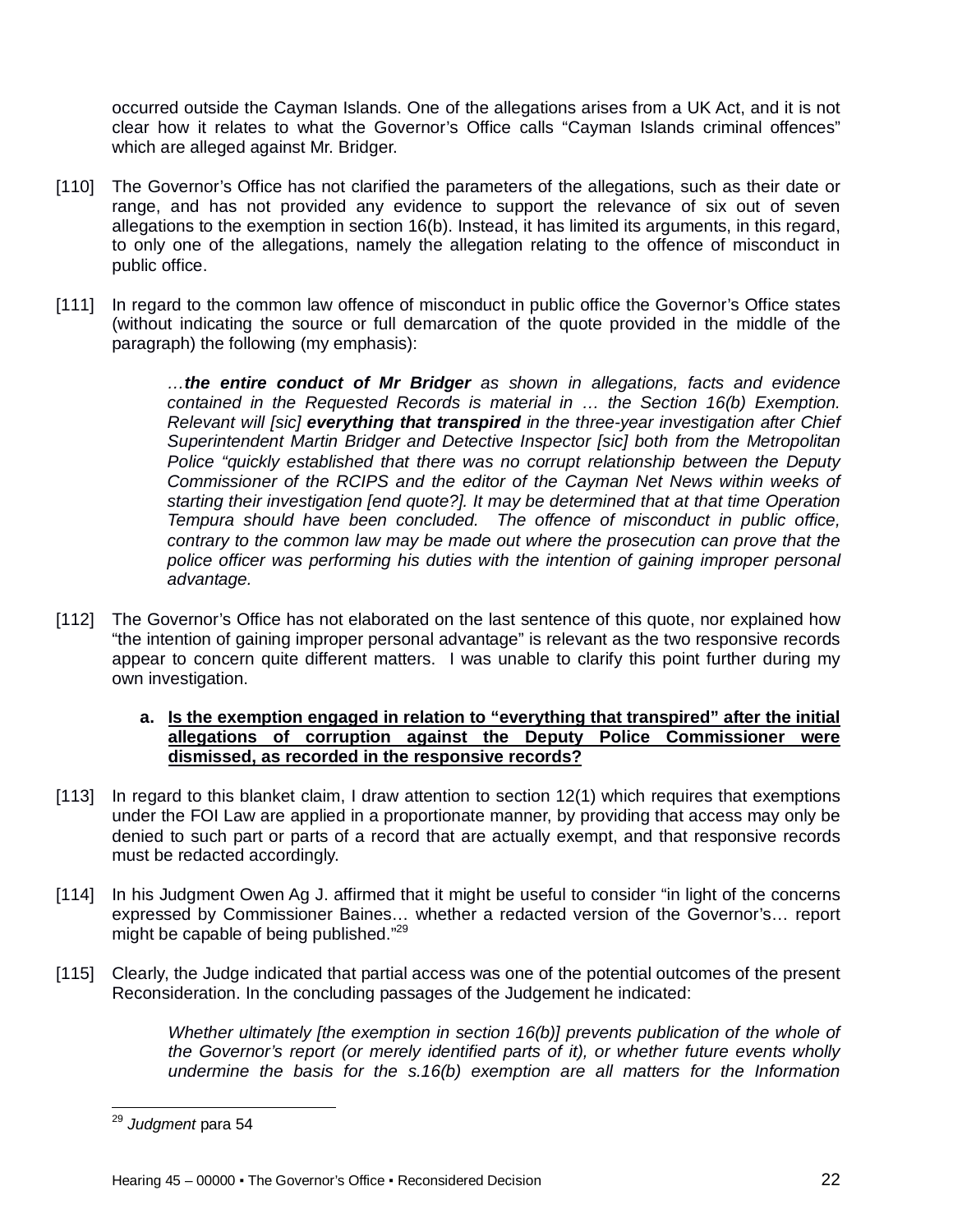occurred outside the Cayman Islands. One of the allegations arises from a UK Act, and it is not clear how it relates to what the Governor's Office calls "Cayman Islands criminal offences" which are alleged against Mr. Bridger.

- [110] The Governor's Office has not clarified the parameters of the allegations, such as their date or range, and has not provided any evidence to support the relevance of six out of seven allegations to the exemption in section 16(b). Instead, it has limited its arguments, in this regard, to only one of the allegations, namely the allegation relating to the offence of misconduct in public office.
- [111] In regard to the common law offence of misconduct in public office the Governor's Office states (without indicating the source or full demarcation of the quote provided in the middle of the paragraph) the following (my emphasis):

*…the entire conduct of Mr Bridger as shown in allegations, facts and evidence contained in the Requested Records is material in … the Section 16(b) Exemption. Relevant will [sic] everything that transpired in the three-year investigation after Chief Superintendent Martin Bridger and Detective Inspector [sic] both from the Metropolitan Police "quickly established that there was no corrupt relationship between the Deputy Commissioner of the RCIPS and the editor of the Cayman Net News within weeks of starting their investigation [end quote?]. It may be determined that at that time Operation Tempura should have been concluded. The offence of misconduct in public office, contrary to the common law may be made out where the prosecution can prove that the police officer was performing his duties with the intention of gaining improper personal advantage.*

[112] The Governor's Office has not elaborated on the last sentence of this quote, nor explained how "the intention of gaining improper personal advantage" is relevant as the two responsive records appear to concern quite different matters. I was unable to clarify this point further during my own investigation.

#### **a. Is the exemption engaged in relation to "everything that transpired" after the initial allegations of corruption against the Deputy Police Commissioner were dismissed, as recorded in the responsive records?**

- [113] In regard to this blanket claim, I draw attention to section 12(1) which requires that exemptions under the FOI Law are applied in a proportionate manner, by providing that access may only be denied to such part or parts of a record that are actually exempt, and that responsive records must be redacted accordingly.
- [114] In his Judgment Owen Ag J. affirmed that it might be useful to consider "in light of the concerns expressed by Commissioner Baines… whether a redacted version of the Governor's… report might be capable of being published."<sup>29</sup>
- [115] Clearly, the Judge indicated that partial access was one of the potential outcomes of the present Reconsideration. In the concluding passages of the Judgement he indicated:

*Whether ultimately [the exemption in section 16(b)] prevents publication of the whole of the Governor's report (or merely identified parts of it), or whether future events wholly undermine the basis for the s.16(b) exemption are all matters for the Information* 

 $\overline{\phantom{a}}$ <sup>29</sup> *Judgment* para 54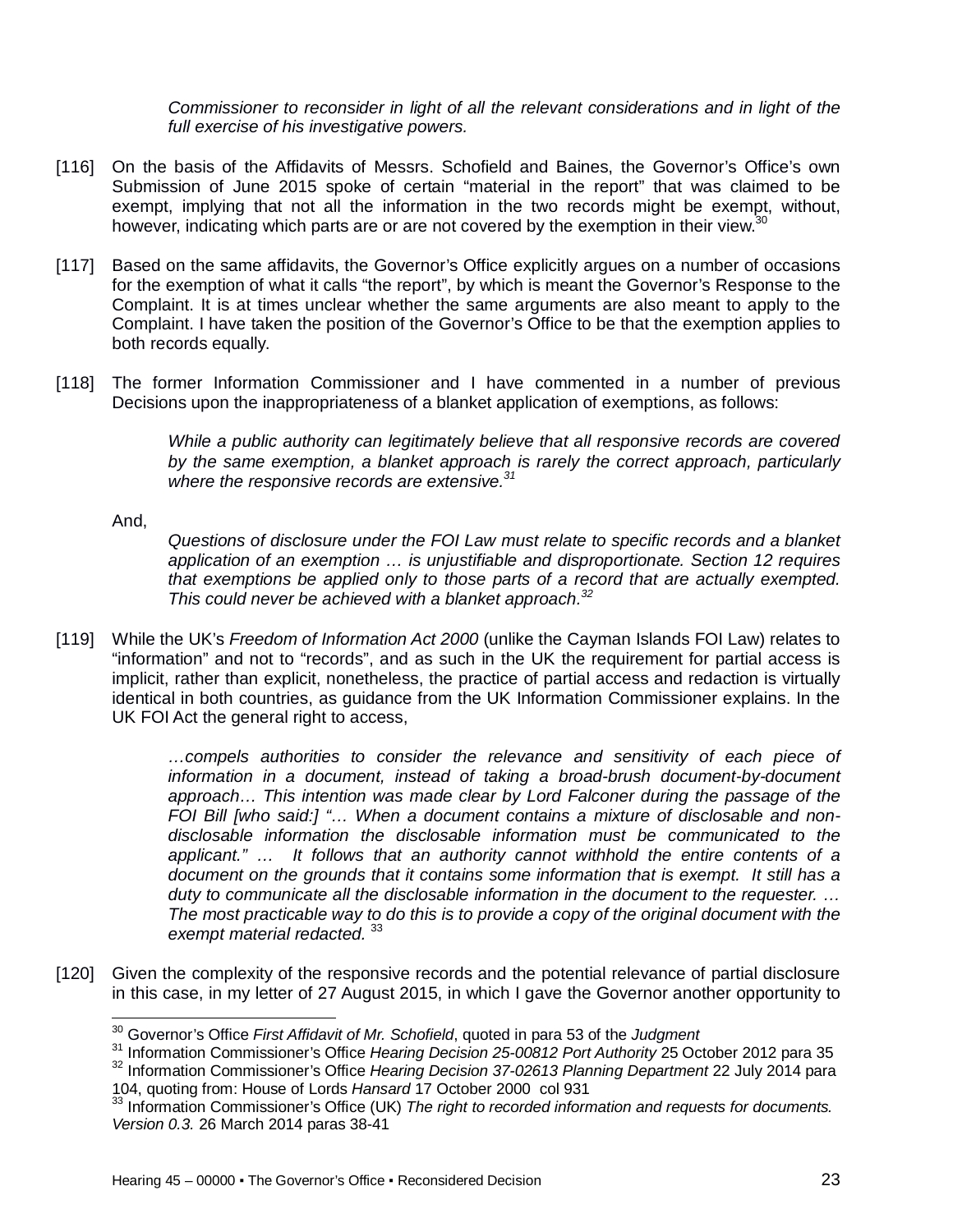*Commissioner to reconsider in light of all the relevant considerations and in light of the full exercise of his investigative powers.*

- [116] On the basis of the Affidavits of Messrs. Schofield and Baines, the Governor's Office's own Submission of June 2015 spoke of certain "material in the report" that was claimed to be exempt, implying that not all the information in the two records might be exempt, without, however, indicating which parts are or are not covered by the exemption in their view.  $30$
- [117] Based on the same affidavits, the Governor's Office explicitly argues on a number of occasions for the exemption of what it calls "the report", by which is meant the Governor's Response to the Complaint. It is at times unclear whether the same arguments are also meant to apply to the Complaint. I have taken the position of the Governor's Office to be that the exemption applies to both records equally.
- [118] The former Information Commissioner and I have commented in a number of previous Decisions upon the inappropriateness of a blanket application of exemptions, as follows:

*While a public authority can legitimately believe that all responsive records are covered by the same exemption, a blanket approach is rarely the correct approach, particularly where the responsive records are extensive.<sup>31</sup>*

#### And,

 $\overline{a}$ 

*Questions of disclosure under the FOI Law must relate to specific records and a blanket application of an exemption … is unjustifiable and disproportionate. Section 12 requires that exemptions be applied only to those parts of a record that are actually exempted. This could never be achieved with a blanket approach.<sup>32</sup>*

[119] While the UK's *Freedom of Information Act 2000* (unlike the Cayman Islands FOI Law) relates to "information" and not to "records", and as such in the UK the requirement for partial access is implicit, rather than explicit, nonetheless, the practice of partial access and redaction is virtually identical in both countries, as guidance from the UK Information Commissioner explains. In the UK FOI Act the general right to access,

> *…compels authorities to consider the relevance and sensitivity of each piece of information in a document, instead of taking a broad-brush document-by-document approach… This intention was made clear by Lord Falconer during the passage of the FOI Bill [who said:] "… When a document contains a mixture of disclosable and nondisclosable information the disclosable information must be communicated to the applicant." … It follows that an authority cannot withhold the entire contents of a document on the grounds that it contains some information that is exempt. It still has a duty to communicate all the disclosable information in the document to the requester. … The most practicable way to do this is to provide a copy of the original document with the exempt material redacted.* <sup>33</sup>

[120] Given the complexity of the responsive records and the potential relevance of partial disclosure in this case, in my letter of 27 August 2015, in which I gave the Governor another opportunity to

<sup>30</sup> Governor's Office *First Affidavit of Mr. Schofield*, quoted in para 53 of the *Judgment*

<sup>31</sup> Information Commissioner's Office *Hearing Decision 25-00812 Port Authority* 25 October 2012 para 35

<sup>32</sup> Information Commissioner's Office *Hearing Decision 37-02613 Planning Department* 22 July 2014 para 104, quoting from: House of Lords *Hansard* 17 October 2000 col 931

<sup>&</sup>lt;sup>33</sup> Information Commissioner's Office (UK) The right to recorded information and requests for documents. *Version 0.3.* 26 March 2014 paras 38-41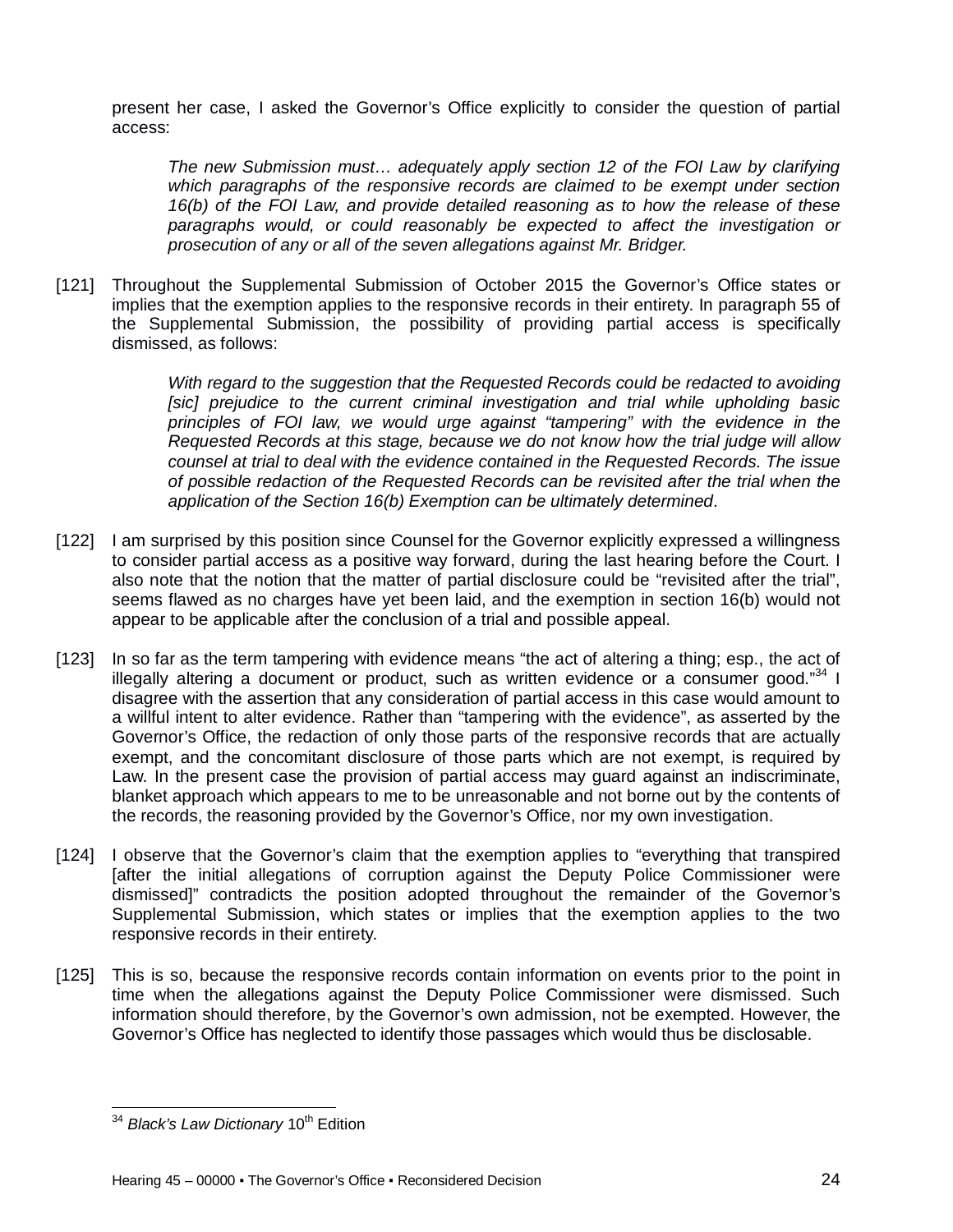present her case, I asked the Governor's Office explicitly to consider the question of partial access:

*The new Submission must… adequately apply section 12 of the FOI Law by clarifying which paragraphs of the responsive records are claimed to be exempt under section 16(b) of the FOI Law, and provide detailed reasoning as to how the release of these paragraphs would, or could reasonably be expected to affect the investigation or prosecution of any or all of the seven allegations against Mr. Bridger.*

[121] Throughout the Supplemental Submission of October 2015 the Governor's Office states or implies that the exemption applies to the responsive records in their entirety. In paragraph 55 of the Supplemental Submission, the possibility of providing partial access is specifically dismissed, as follows:

> *With regard to the suggestion that the Requested Records could be redacted to avoiding*  [sic] prejudice to the current criminal investigation and trial while upholding basic *principles of FOI law, we would urge against "tampering" with the evidence in the Requested Records at this stage, because we do not know how the trial judge will allow counsel at trial to deal with the evidence contained in the Requested Records. The issue of possible redaction of the Requested Records can be revisited after the trial when the application of the Section 16(b) Exemption can be ultimately determined*.

- [122] I am surprised by this position since Counsel for the Governor explicitly expressed a willingness to consider partial access as a positive way forward, during the last hearing before the Court. I also note that the notion that the matter of partial disclosure could be "revisited after the trial", seems flawed as no charges have yet been laid, and the exemption in section 16(b) would not appear to be applicable after the conclusion of a trial and possible appeal.
- [123] In so far as the term tampering with evidence means "the act of altering a thing; esp., the act of illegally altering a document or product, such as written evidence or a consumer good."34 I disagree with the assertion that any consideration of partial access in this case would amount to a willful intent to alter evidence. Rather than "tampering with the evidence", as asserted by the Governor's Office, the redaction of only those parts of the responsive records that are actually exempt, and the concomitant disclosure of those parts which are not exempt, is required by Law. In the present case the provision of partial access may guard against an indiscriminate, blanket approach which appears to me to be unreasonable and not borne out by the contents of the records, the reasoning provided by the Governor's Office, nor my own investigation.
- [124] I observe that the Governor's claim that the exemption applies to "everything that transpired [after the initial allegations of corruption against the Deputy Police Commissioner were dismissed]" contradicts the position adopted throughout the remainder of the Governor's Supplemental Submission, which states or implies that the exemption applies to the two responsive records in their entirety.
- [125] This is so, because the responsive records contain information on events prior to the point in time when the allegations against the Deputy Police Commissioner were dismissed. Such information should therefore, by the Governor's own admission, not be exempted. However, the Governor's Office has neglected to identify those passages which would thus be disclosable.

 $\overline{\phantom{a}}$ <sup>34</sup> *Black's Law Dictionary* 10<sup>th</sup> Edition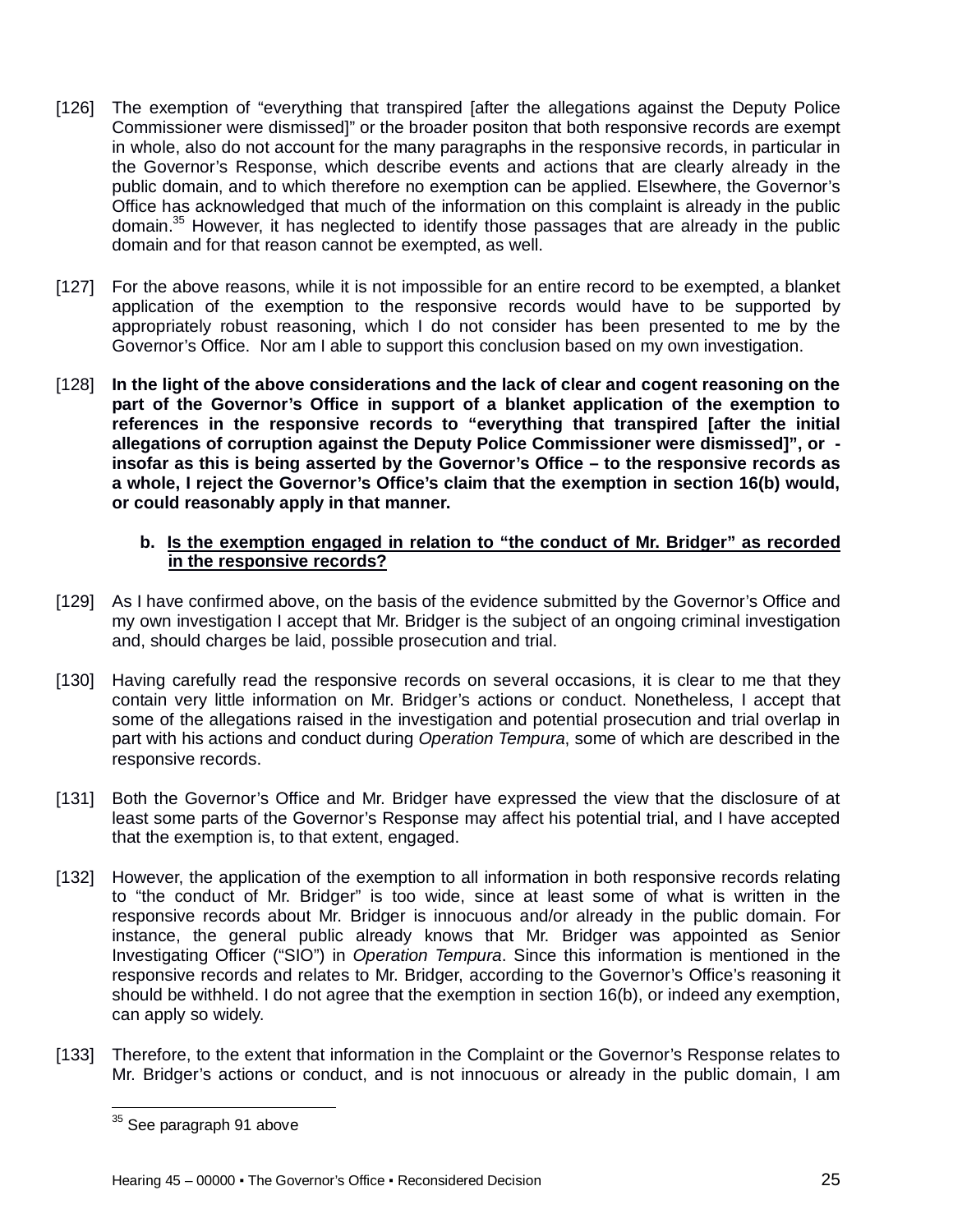- [126] The exemption of "everything that transpired [after the allegations against the Deputy Police Commissioner were dismissed]" or the broader positon that both responsive records are exempt in whole, also do not account for the many paragraphs in the responsive records, in particular in the Governor's Response, which describe events and actions that are clearly already in the public domain, and to which therefore no exemption can be applied. Elsewhere, the Governor's Office has acknowledged that much of the information on this complaint is already in the public domain.<sup>35</sup> However, it has neglected to identify those passages that are already in the public domain and for that reason cannot be exempted, as well.
- [127] For the above reasons, while it is not impossible for an entire record to be exempted, a blanket application of the exemption to the responsive records would have to be supported by appropriately robust reasoning, which I do not consider has been presented to me by the Governor's Office. Nor am I able to support this conclusion based on my own investigation.
- [128] **In the light of the above considerations and the lack of clear and cogent reasoning on the part of the Governor's Office in support of a blanket application of the exemption to references in the responsive records to "everything that transpired [after the initial allegations of corruption against the Deputy Police Commissioner were dismissed]", or insofar as this is being asserted by the Governor's Office – to the responsive records as a whole, I reject the Governor's Office's claim that the exemption in section 16(b) would, or could reasonably apply in that manner.**

#### **b. Is the exemption engaged in relation to "the conduct of Mr. Bridger" as recorded in the responsive records?**

- [129] As I have confirmed above, on the basis of the evidence submitted by the Governor's Office and my own investigation I accept that Mr. Bridger is the subject of an ongoing criminal investigation and, should charges be laid, possible prosecution and trial.
- [130] Having carefully read the responsive records on several occasions, it is clear to me that they contain very little information on Mr. Bridger's actions or conduct. Nonetheless, I accept that some of the allegations raised in the investigation and potential prosecution and trial overlap in part with his actions and conduct during *Operation Tempura*, some of which are described in the responsive records.
- [131] Both the Governor's Office and Mr. Bridger have expressed the view that the disclosure of at least some parts of the Governor's Response may affect his potential trial, and I have accepted that the exemption is, to that extent, engaged.
- [132] However, the application of the exemption to all information in both responsive records relating to "the conduct of Mr. Bridger" is too wide, since at least some of what is written in the responsive records about Mr. Bridger is innocuous and/or already in the public domain. For instance, the general public already knows that Mr. Bridger was appointed as Senior Investigating Officer ("SIO") in *Operation Tempura*. Since this information is mentioned in the responsive records and relates to Mr. Bridger, according to the Governor's Office's reasoning it should be withheld. I do not agree that the exemption in section 16(b), or indeed any exemption, can apply so widely.
- [133] Therefore, to the extent that information in the Complaint or the Governor's Response relates to Mr. Bridger's actions or conduct, and is not innocuous or already in the public domain, I am

 $\overline{\phantom{a}}$  $^{35}$  See paragraph 91 above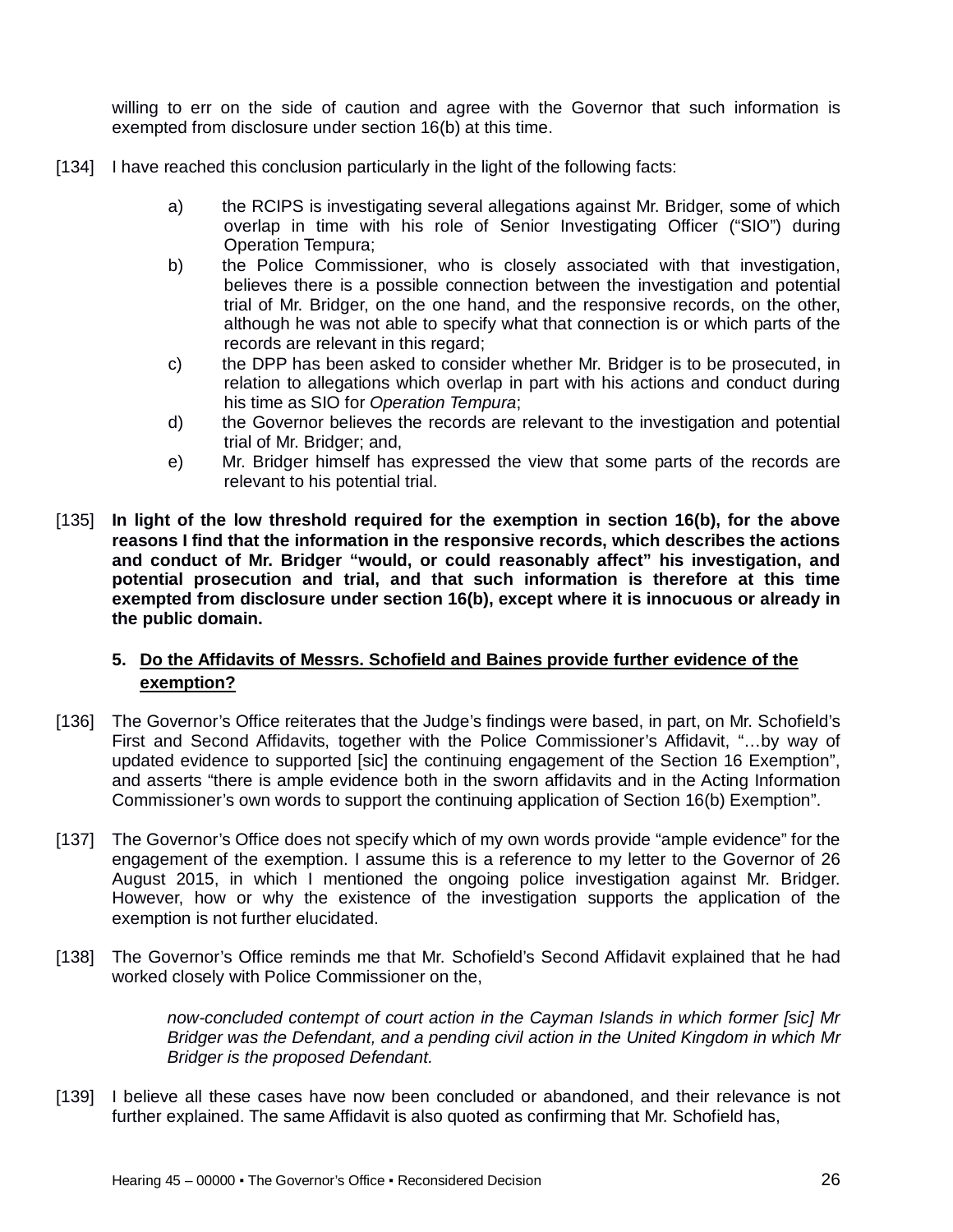willing to err on the side of caution and agree with the Governor that such information is exempted from disclosure under section 16(b) at this time.

- [134] I have reached this conclusion particularly in the light of the following facts:
	- a) the RCIPS is investigating several allegations against Mr. Bridger, some of which overlap in time with his role of Senior Investigating Officer ("SIO") during Operation Tempura;
	- b) the Police Commissioner, who is closely associated with that investigation, believes there is a possible connection between the investigation and potential trial of Mr. Bridger, on the one hand, and the responsive records, on the other, although he was not able to specify what that connection is or which parts of the records are relevant in this regard;
	- c) the DPP has been asked to consider whether Mr. Bridger is to be prosecuted, in relation to allegations which overlap in part with his actions and conduct during his time as SIO for *Operation Tempura*;
	- d) the Governor believes the records are relevant to the investigation and potential trial of Mr. Bridger; and,
	- e) Mr. Bridger himself has expressed the view that some parts of the records are relevant to his potential trial.
- [135] **In light of the low threshold required for the exemption in section 16(b), for the above reasons I find that the information in the responsive records, which describes the actions and conduct of Mr. Bridger "would, or could reasonably affect" his investigation, and potential prosecution and trial, and that such information is therefore at this time exempted from disclosure under section 16(b), except where it is innocuous or already in the public domain.**

## **5. Do the Affidavits of Messrs. Schofield and Baines provide further evidence of the exemption?**

- [136] The Governor's Office reiterates that the Judge's findings were based, in part, on Mr. Schofield's First and Second Affidavits, together with the Police Commissioner's Affidavit, "…by way of updated evidence to supported [sic] the continuing engagement of the Section 16 Exemption", and asserts "there is ample evidence both in the sworn affidavits and in the Acting Information Commissioner's own words to support the continuing application of Section 16(b) Exemption".
- [137] The Governor's Office does not specify which of my own words provide "ample evidence" for the engagement of the exemption. I assume this is a reference to my letter to the Governor of 26 August 2015, in which I mentioned the ongoing police investigation against Mr. Bridger. However, how or why the existence of the investigation supports the application of the exemption is not further elucidated.
- [138] The Governor's Office reminds me that Mr. Schofield's Second Affidavit explained that he had worked closely with Police Commissioner on the,

*now-concluded contempt of court action in the Cayman Islands in which former [sic] Mr Bridger was the Defendant, and a pending civil action in the United Kingdom in which Mr Bridger is the proposed Defendant.* 

[139] I believe all these cases have now been concluded or abandoned, and their relevance is not further explained. The same Affidavit is also quoted as confirming that Mr. Schofield has,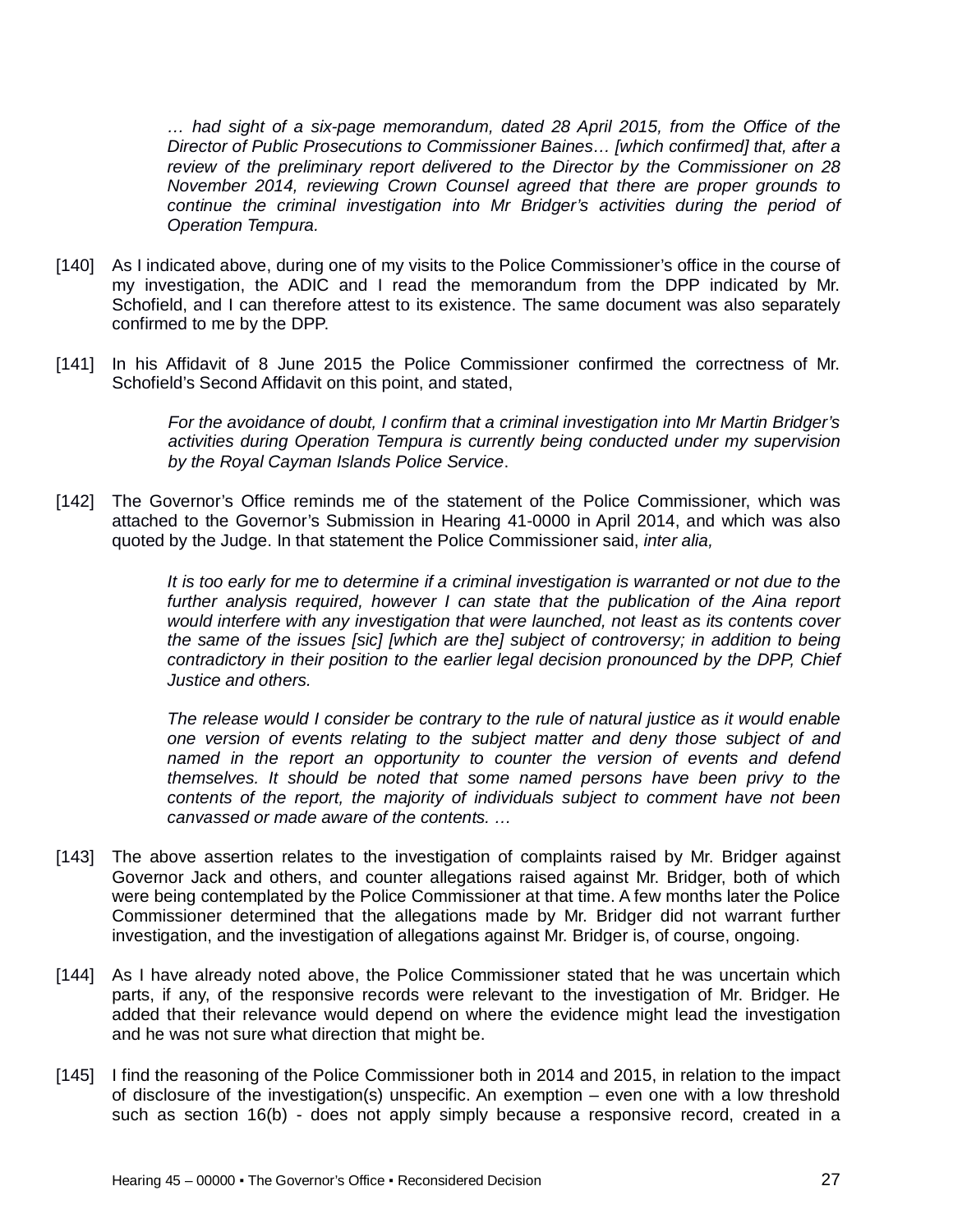*… had sight of a six-page memorandum, dated 28 April 2015, from the Office of the Director of Public Prosecutions to Commissioner Baines… [which confirmed] that, after a review of the preliminary report delivered to the Director by the Commissioner on 28 November 2014, reviewing Crown Counsel agreed that there are proper grounds to continue the criminal investigation into Mr Bridger's activities during the period of Operation Tempura.*

- [140] As I indicated above, during one of my visits to the Police Commissioner's office in the course of my investigation, the ADIC and I read the memorandum from the DPP indicated by Mr. Schofield, and I can therefore attest to its existence. The same document was also separately confirmed to me by the DPP.
- [141] In his Affidavit of 8 June 2015 the Police Commissioner confirmed the correctness of Mr. Schofield's Second Affidavit on this point, and stated,

*For the avoidance of doubt, I confirm that a criminal investigation into Mr Martin Bridger's activities during Operation Tempura is currently being conducted under my supervision by the Royal Cayman Islands Police Service*.

[142] The Governor's Office reminds me of the statement of the Police Commissioner, which was attached to the Governor's Submission in Hearing 41-0000 in April 2014, and which was also quoted by the Judge. In that statement the Police Commissioner said, *inter alia,*

> *It is too early for me to determine if a criminal investigation is warranted or not due to the*  further analysis required, however I can state that the publication of the Aina report *would interfere with any investigation that were launched, not least as its contents cover the same of the issues [sic] [which are the] subject of controversy; in addition to being contradictory in their position to the earlier legal decision pronounced by the DPP, Chief Justice and others.*

> *The release would I consider be contrary to the rule of natural justice as it would enable one version of events relating to the subject matter and deny those subject of and named in the report an opportunity to counter the version of events and defend themselves. It should be noted that some named persons have been privy to the contents of the report, the majority of individuals subject to comment have not been canvassed or made aware of the contents. …*

- [143] The above assertion relates to the investigation of complaints raised by Mr. Bridger against Governor Jack and others, and counter allegations raised against Mr. Bridger, both of which were being contemplated by the Police Commissioner at that time. A few months later the Police Commissioner determined that the allegations made by Mr. Bridger did not warrant further investigation, and the investigation of allegations against Mr. Bridger is, of course, ongoing.
- [144] As I have already noted above, the Police Commissioner stated that he was uncertain which parts, if any, of the responsive records were relevant to the investigation of Mr. Bridger. He added that their relevance would depend on where the evidence might lead the investigation and he was not sure what direction that might be.
- [145] I find the reasoning of the Police Commissioner both in 2014 and 2015, in relation to the impact of disclosure of the investigation(s) unspecific. An exemption – even one with a low threshold such as section 16(b) - does not apply simply because a responsive record, created in a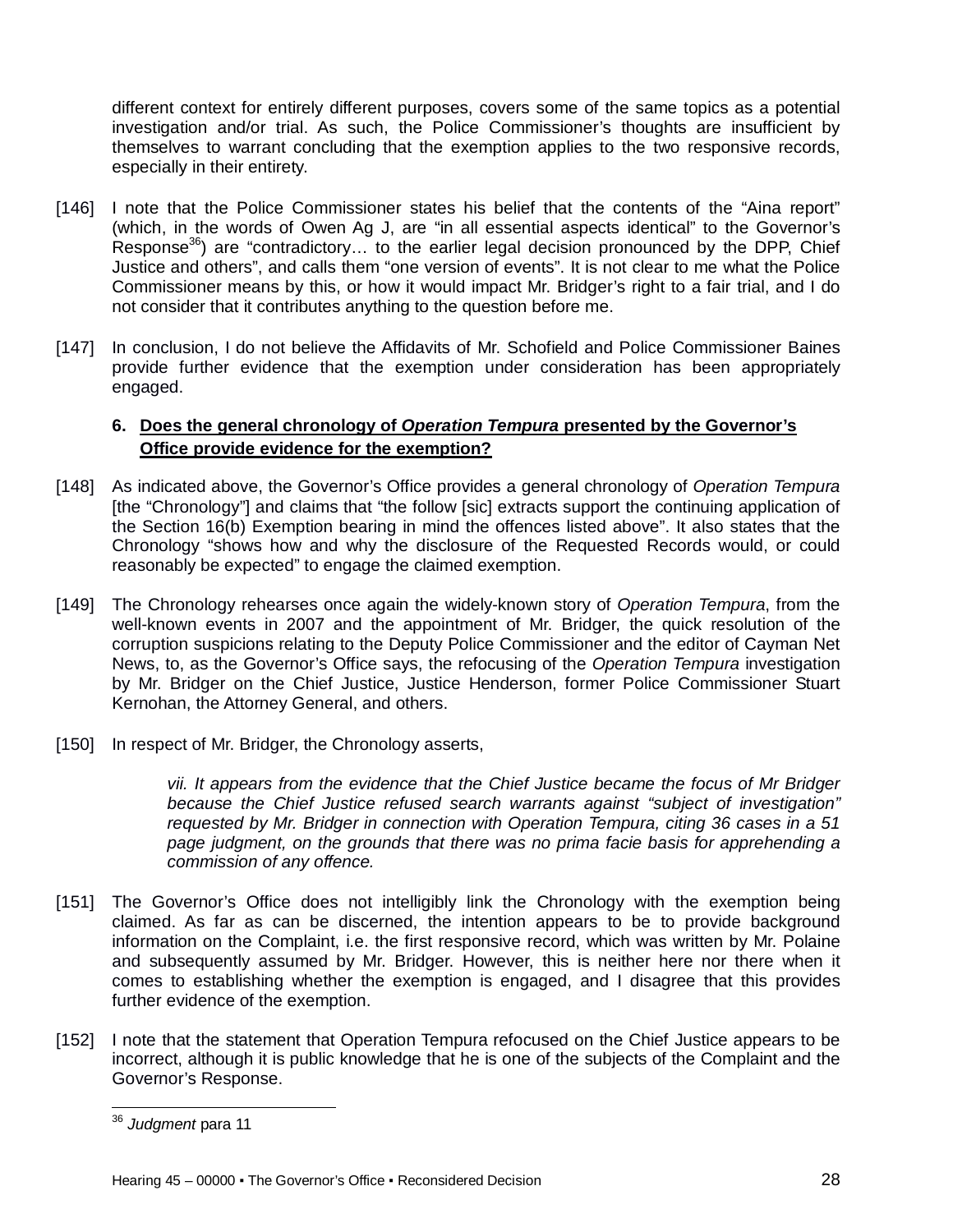different context for entirely different purposes, covers some of the same topics as a potential investigation and/or trial. As such, the Police Commissioner's thoughts are insufficient by themselves to warrant concluding that the exemption applies to the two responsive records, especially in their entirety.

- [146] I note that the Police Commissioner states his belief that the contents of the "Aina report" (which, in the words of Owen Ag J, are "in all essential aspects identical" to the Governor's Response<sup>36</sup>) are "contradictory... to the earlier legal decision pronounced by the DPP, Chief Justice and others", and calls them "one version of events". It is not clear to me what the Police Commissioner means by this, or how it would impact Mr. Bridger's right to a fair trial, and I do not consider that it contributes anything to the question before me.
- [147] In conclusion, I do not believe the Affidavits of Mr. Schofield and Police Commissioner Baines provide further evidence that the exemption under consideration has been appropriately engaged.

## **6. Does the general chronology of** *Operation Tempura* **presented by the Governor's Office provide evidence for the exemption?**

- [148] As indicated above, the Governor's Office provides a general chronology of *Operation Tempura* [the "Chronology"] and claims that "the follow [sic] extracts support the continuing application of the Section 16(b) Exemption bearing in mind the offences listed above". It also states that the Chronology "shows how and why the disclosure of the Requested Records would, or could reasonably be expected" to engage the claimed exemption.
- [149] The Chronology rehearses once again the widely-known story of *Operation Tempura*, from the well-known events in 2007 and the appointment of Mr. Bridger, the quick resolution of the corruption suspicions relating to the Deputy Police Commissioner and the editor of Cayman Net News, to, as the Governor's Office says, the refocusing of the *Operation Tempura* investigation by Mr. Bridger on the Chief Justice, Justice Henderson, former Police Commissioner Stuart Kernohan, the Attorney General, and others.
- [150] In respect of Mr. Bridger, the Chronology asserts,

*vii. It appears from the evidence that the Chief Justice became the focus of Mr Bridger because the Chief Justice refused search warrants against "subject of investigation" requested by Mr. Bridger in connection with Operation Tempura, citing 36 cases in a 51 page judgment, on the grounds that there was no prima facie basis for apprehending a commission of any offence.*

- [151] The Governor's Office does not intelligibly link the Chronology with the exemption being claimed. As far as can be discerned, the intention appears to be to provide background information on the Complaint, i.e. the first responsive record, which was written by Mr. Polaine and subsequently assumed by Mr. Bridger. However, this is neither here nor there when it comes to establishing whether the exemption is engaged, and I disagree that this provides further evidence of the exemption.
- [152] I note that the statement that Operation Tempura refocused on the Chief Justice appears to be incorrect, although it is public knowledge that he is one of the subjects of the Complaint and the Governor's Response.

 $\overline{\phantom{a}}$ <sup>36</sup> *Judgment* para 11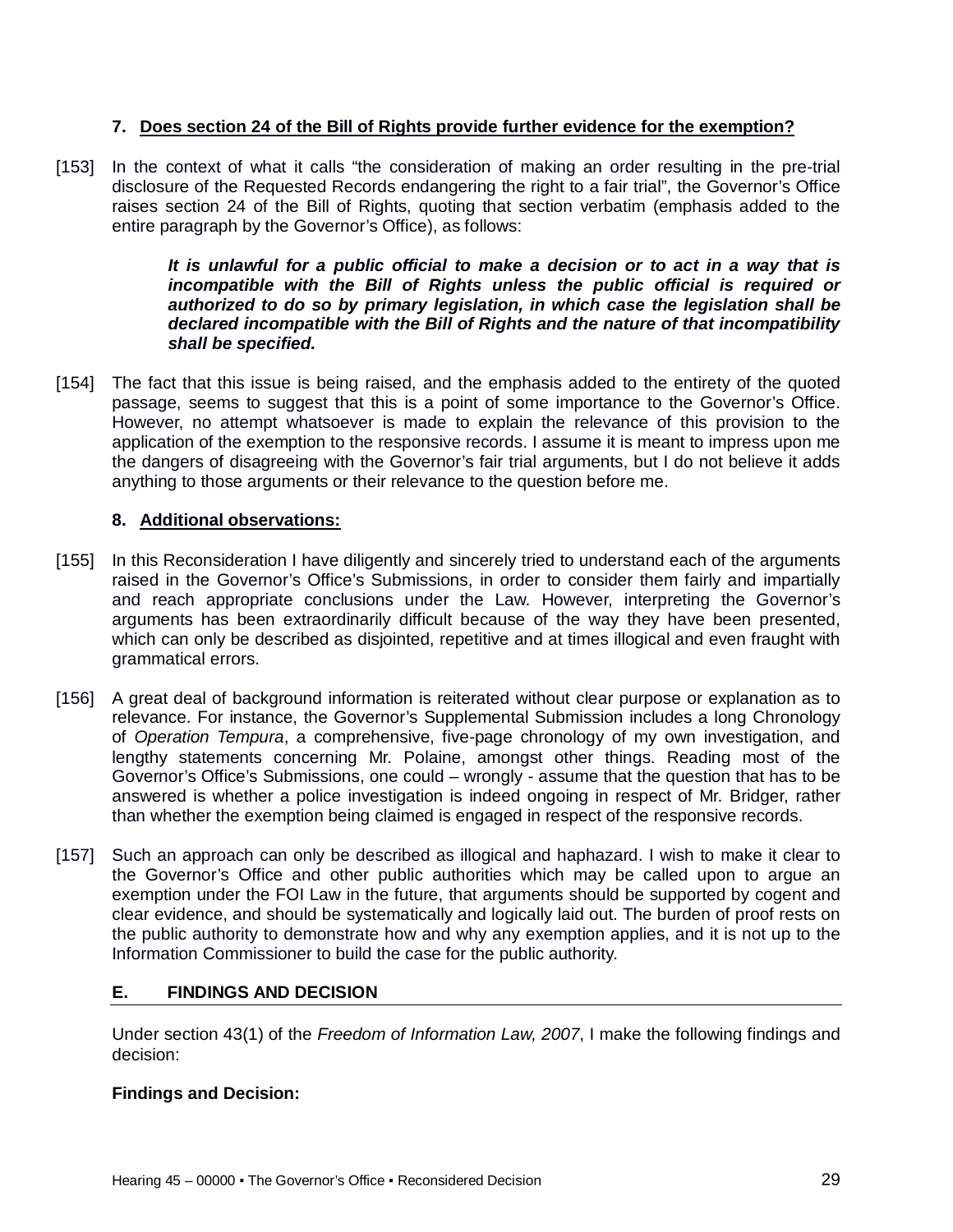## **7. Does section 24 of the Bill of Rights provide further evidence for the exemption?**

[153] In the context of what it calls "the consideration of making an order resulting in the pre-trial disclosure of the Requested Records endangering the right to a fair trial", the Governor's Office raises section 24 of the Bill of Rights, quoting that section verbatim (emphasis added to the entire paragraph by the Governor's Office), as follows:

> *It is unlawful for a public official to make a decision or to act in a way that is incompatible with the Bill of Rights unless the public official is required or authorized to do so by primary legislation, in which case the legislation shall be declared incompatible with the Bill of Rights and the nature of that incompatibility shall be specified.*

[154] The fact that this issue is being raised, and the emphasis added to the entirety of the quoted passage, seems to suggest that this is a point of some importance to the Governor's Office. However, no attempt whatsoever is made to explain the relevance of this provision to the application of the exemption to the responsive records. I assume it is meant to impress upon me the dangers of disagreeing with the Governor's fair trial arguments, but I do not believe it adds anything to those arguments or their relevance to the question before me.

## **8. Additional observations:**

- [155] In this Reconsideration I have diligently and sincerely tried to understand each of the arguments raised in the Governor's Office's Submissions, in order to consider them fairly and impartially and reach appropriate conclusions under the Law. However, interpreting the Governor's arguments has been extraordinarily difficult because of the way they have been presented, which can only be described as disjointed, repetitive and at times illogical and even fraught with grammatical errors.
- [156] A great deal of background information is reiterated without clear purpose or explanation as to relevance. For instance, the Governor's Supplemental Submission includes a long Chronology of *Operation Tempura*, a comprehensive, five-page chronology of my own investigation, and lengthy statements concerning Mr. Polaine, amongst other things. Reading most of the Governor's Office's Submissions, one could – wrongly - assume that the question that has to be answered is whether a police investigation is indeed ongoing in respect of Mr. Bridger, rather than whether the exemption being claimed is engaged in respect of the responsive records.
- [157] Such an approach can only be described as illogical and haphazard. I wish to make it clear to the Governor's Office and other public authorities which may be called upon to argue an exemption under the FOI Law in the future, that arguments should be supported by cogent and clear evidence, and should be systematically and logically laid out. The burden of proof rests on the public authority to demonstrate how and why any exemption applies, and it is not up to the Information Commissioner to build the case for the public authority.

# **E. FINDINGS AND DECISION**

Under section 43(1) of the *Freedom of Information Law, 2007*, I make the following findings and decision:

## **Findings and Decision:**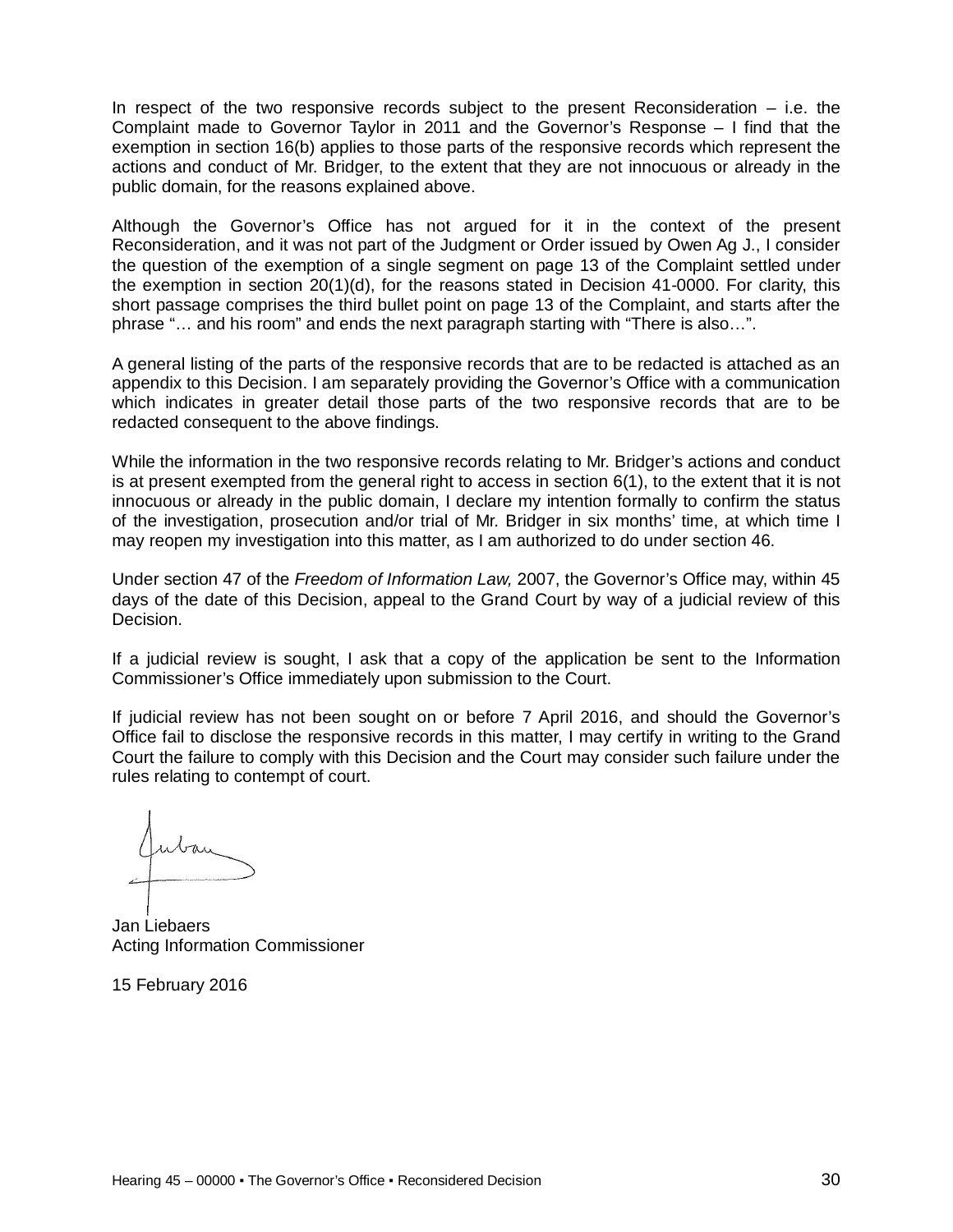In respect of the two responsive records subject to the present Reconsideration  $-$  i.e. the Complaint made to Governor Taylor in 2011 and the Governor's Response – I find that the exemption in section 16(b) applies to those parts of the responsive records which represent the actions and conduct of Mr. Bridger, to the extent that they are not innocuous or already in the public domain, for the reasons explained above.

Although the Governor's Office has not argued for it in the context of the present Reconsideration, and it was not part of the Judgment or Order issued by Owen Ag J., I consider the question of the exemption of a single segment on page 13 of the Complaint settled under the exemption in section 20(1)(d), for the reasons stated in Decision 41-0000. For clarity, this short passage comprises the third bullet point on page 13 of the Complaint, and starts after the phrase "… and his room" and ends the next paragraph starting with "There is also…".

A general listing of the parts of the responsive records that are to be redacted is attached as an appendix to this Decision. I am separately providing the Governor's Office with a communication which indicates in greater detail those parts of the two responsive records that are to be redacted consequent to the above findings.

While the information in the two responsive records relating to Mr. Bridger's actions and conduct is at present exempted from the general right to access in section 6(1), to the extent that it is not innocuous or already in the public domain, I declare my intention formally to confirm the status of the investigation, prosecution and/or trial of Mr. Bridger in six months' time, at which time I may reopen my investigation into this matter, as I am authorized to do under section 46.

Under section 47 of the *Freedom of Information Law,* 2007, the Governor's Office may, within 45 days of the date of this Decision, appeal to the Grand Court by way of a judicial review of this Decision.

If a judicial review is sought, I ask that a copy of the application be sent to the Information Commissioner's Office immediately upon submission to the Court.

If judicial review has not been sought on or before 7 April 2016, and should the Governor's Office fail to disclose the responsive records in this matter, I may certify in writing to the Grand Court the failure to comply with this Decision and the Court may consider such failure under the rules relating to contempt of court.

Jan Liebaers Acting Information Commissioner

15 February 2016